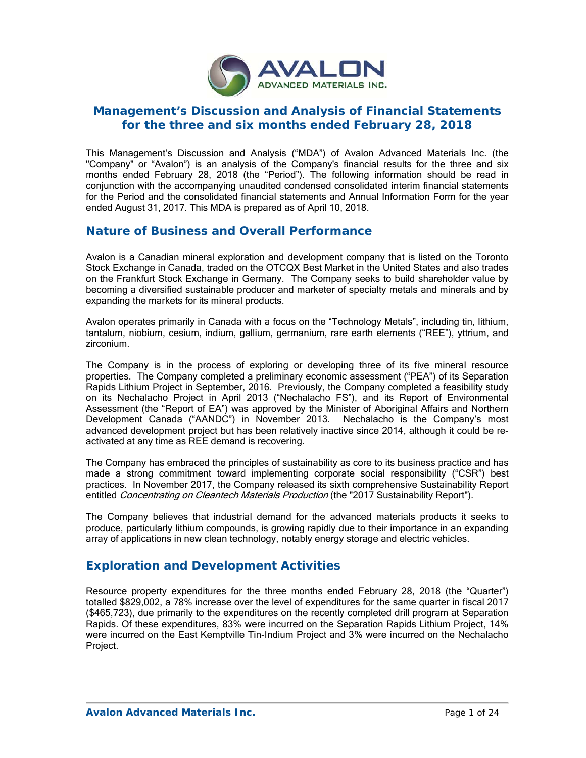

## **Management's Discussion and Analysis of Financial Statements for the three and six months ended February 28, 2018**

This Management's Discussion and Analysis ("MDA") of Avalon Advanced Materials Inc. (the "Company" or "Avalon") is an analysis of the Company's financial results for the three and six months ended February 28, 2018 (the "Period"). The following information should be read in conjunction with the accompanying unaudited condensed consolidated interim financial statements for the Period and the consolidated financial statements and Annual Information Form for the year ended August 31, 2017. This MDA is prepared as of April 10, 2018.

## **Nature of Business and Overall Performance**

Avalon is a Canadian mineral exploration and development company that is listed on the Toronto Stock Exchange in Canada, traded on the OTCQX Best Market in the United States and also trades on the Frankfurt Stock Exchange in Germany. The Company seeks to build shareholder value by becoming a diversified sustainable producer and marketer of specialty metals and minerals and by expanding the markets for its mineral products.

Avalon operates primarily in Canada with a focus on the "Technology Metals", including tin, lithium, tantalum, niobium, cesium, indium, gallium, germanium, rare earth elements ("REE"), yttrium, and zirconium.

The Company is in the process of exploring or developing three of its five mineral resource properties. The Company completed a preliminary economic assessment ("PEA") of its Separation Rapids Lithium Project in September, 2016. Previously, the Company completed a feasibility study on its Nechalacho Project in April 2013 ("Nechalacho FS"), and its Report of Environmental Assessment (the "Report of EA") was approved by the Minister of Aboriginal Affairs and Northern Development Canada ("AANDC") in November 2013. Nechalacho is the Company's most advanced development project but has been relatively inactive since 2014, although it could be reactivated at any time as REE demand is recovering.

The Company has embraced the principles of sustainability as core to its business practice and has made a strong commitment toward implementing corporate social responsibility ("CSR") best practices. In November 2017, the Company released its sixth comprehensive Sustainability Report entitled Concentrating on Cleantech Materials Production (the "2017 Sustainability Report").

The Company believes that industrial demand for the advanced materials products it seeks to produce, particularly lithium compounds, is growing rapidly due to their importance in an expanding array of applications in new clean technology, notably energy storage and electric vehicles.

## **Exploration and Development Activities**

Resource property expenditures for the three months ended February 28, 2018 (the "Quarter") totalled \$829,002, a 78% increase over the level of expenditures for the same quarter in fiscal 2017 (\$465,723), due primarily to the expenditures on the recently completed drill program at Separation Rapids. Of these expenditures, 83% were incurred on the Separation Rapids Lithium Project, 14% were incurred on the East Kemptville Tin-Indium Project and 3% were incurred on the Nechalacho Project.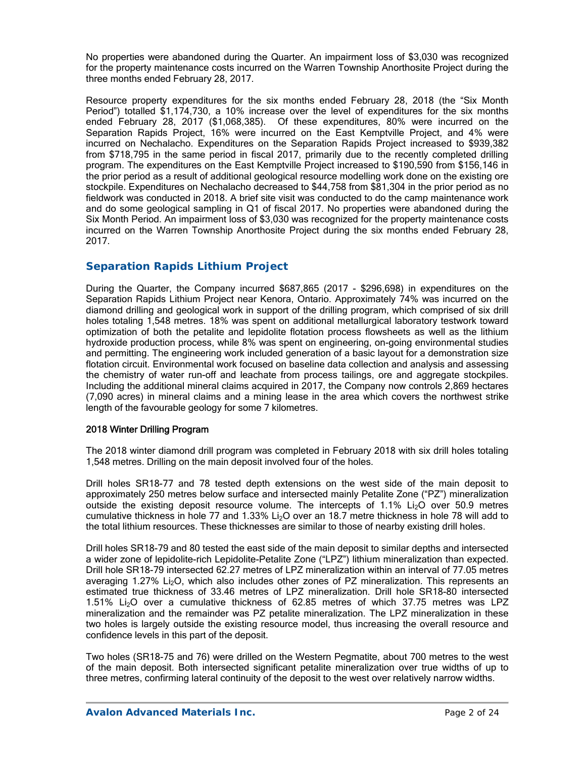No properties were abandoned during the Quarter. An impairment loss of \$3,030 was recognized for the property maintenance costs incurred on the Warren Township Anorthosite Project during the three months ended February 28, 2017.

Resource property expenditures for the six months ended February 28, 2018 (the "Six Month Period") totalled \$1,174,730, a 10% increase over the level of expenditures for the six months ended February 28, 2017 (\$1,068,385). Of these expenditures, 80% were incurred on the Separation Rapids Project, 16% were incurred on the East Kemptville Project, and 4% were incurred on Nechalacho. Expenditures on the Separation Rapids Project increased to \$939,382 from \$718,795 in the same period in fiscal 2017, primarily due to the recently completed drilling program. The expenditures on the East Kemptville Project increased to \$190,590 from \$156,146 in the prior period as a result of additional geological resource modelling work done on the existing ore stockpile. Expenditures on Nechalacho decreased to \$44,758 from \$81,304 in the prior period as no fieldwork was conducted in 2018. A brief site visit was conducted to do the camp maintenance work and do some geological sampling in Q1 of fiscal 2017. No properties were abandoned during the Six Month Period. An impairment loss of \$3,030 was recognized for the property maintenance costs incurred on the Warren Township Anorthosite Project during the six months ended February 28, 2017.

### *Separation Rapids Lithium Project*

During the Quarter, the Company incurred \$687,865 (2017 - \$296,698) in expenditures on the Separation Rapids Lithium Project near Kenora, Ontario. Approximately 74% was incurred on the diamond drilling and geological work in support of the drilling program, which comprised of six drill holes totaling 1,548 metres. 18% was spent on additional metallurgical laboratory testwork toward optimization of both the petalite and lepidolite flotation process flowsheets as well as the lithium hydroxide production process, while 8% was spent on engineering, on-going environmental studies and permitting. The engineering work included generation of a basic layout for a demonstration size flotation circuit. Environmental work focused on baseline data collection and analysis and assessing the chemistry of water run-off and leachate from process tailings, ore and aggregate stockpiles. Including the additional mineral claims acquired in 2017, the Company now controls 2,869 hectares (7,090 acres) in mineral claims and a mining lease in the area which covers the northwest strike length of the favourable geology for some 7 kilometres.

#### 2018 Winter Drilling Program

The 2018 winter diamond drill program was completed in February 2018 with six drill holes totaling 1,548 metres. Drilling on the main deposit involved four of the holes.

Drill holes SR18-77 and 78 tested depth extensions on the west side of the main deposit to approximately 250 metres below surface and intersected mainly Petalite Zone ("PZ") mineralization outside the existing deposit resource volume. The intercepts of  $1.1\%$  Li<sub>2</sub>O over 50.9 metres cumulative thickness in hole 77 and 1.33% Li<sub>2</sub>O over an 18.7 metre thickness in hole 78 will add to the total lithium resources. These thicknesses are similar to those of nearby existing drill holes.

Drill holes SR18-79 and 80 tested the east side of the main deposit to similar depths and intersected a wider zone of lepidolite-rich Lepidolite-Petalite Zone ("LPZ") lithium mineralization than expected. Drill hole SR18-79 intersected 62.27 metres of LPZ mineralization within an interval of 77.05 metres averaging 1.27% Li<sub>2</sub>O, which also includes other zones of PZ mineralization. This represents an estimated true thickness of 33.46 metres of LPZ mineralization. Drill hole SR18-80 intersected 1.51% Li2O over a cumulative thickness of 62.85 metres of which 37.75 metres was LPZ mineralization and the remainder was PZ petalite mineralization. The LPZ mineralization in these two holes is largely outside the existing resource model, thus increasing the overall resource and confidence levels in this part of the deposit.

Two holes (SR18-75 and 76) were drilled on the Western Pegmatite, about 700 metres to the west of the main deposit. Both intersected significant petalite mineralization over true widths of up to three metres, confirming lateral continuity of the deposit to the west over relatively narrow widths.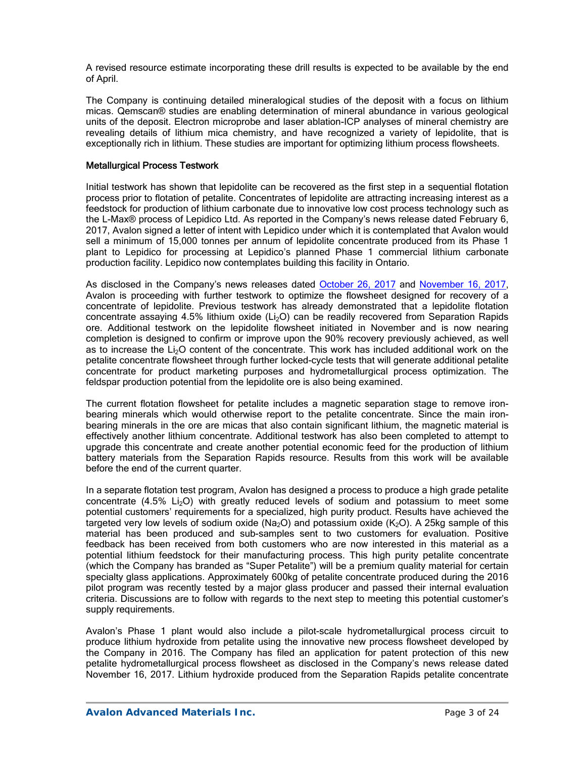A revised resource estimate incorporating these drill results is expected to be available by the end of April.

The Company is continuing detailed mineralogical studies of the deposit with a focus on lithium micas. Qemscan® studies are enabling determination of mineral abundance in various geological units of the deposit. Electron microprobe and laser ablation-ICP analyses of mineral chemistry are revealing details of lithium mica chemistry, and have recognized a variety of lepidolite, that is exceptionally rich in lithium. These studies are important for optimizing lithium process flowsheets.

#### Metallurgical Process Testwork

Initial testwork has shown that lepidolite can be recovered as the first step in a sequential flotation process prior to flotation of petalite. Concentrates of lepidolite are attracting increasing interest as a feedstock for production of lithium carbonate due to innovative low cost process technology such as the L-Max® process of Lepidico Ltd. As reported in the Company's news release dated February 6, 2017, Avalon signed a letter of intent with Lepidico under which it is contemplated that Avalon would sell a minimum of 15,000 tonnes per annum of lepidolite concentrate produced from its Phase 1 plant to Lepidico for processing at Lepidico's planned Phase 1 commercial lithium carbonate production facility. Lepidico now contemplates building this facility in Ontario.

As disclosed in the Company's news releases dated October 26, 2017 and November 16, 2017, Avalon is proceeding with further testwork to optimize the flowsheet designed for recovery of a concentrate of lepidolite. Previous testwork has already demonstrated that a lepidolite flotation concentrate assaying  $4.5\%$  lithium oxide (Li<sub>2</sub>O) can be readily recovered from Separation Rapids ore. Additional testwork on the lepidolite flowsheet initiated in November and is now nearing completion is designed to confirm or improve upon the 90% recovery previously achieved, as well as to increase the  $Li<sub>2</sub>O$  content of the concentrate. This work has included additional work on the petalite concentrate flowsheet through further locked-cycle tests that will generate additional petalite concentrate for product marketing purposes and hydrometallurgical process optimization. The feldspar production potential from the lepidolite ore is also being examined.

The current flotation flowsheet for petalite includes a magnetic separation stage to remove ironbearing minerals which would otherwise report to the petalite concentrate. Since the main ironbearing minerals in the ore are micas that also contain significant lithium, the magnetic material is effectively another lithium concentrate. Additional testwork has also been completed to attempt to upgrade this concentrate and create another potential economic feed for the production of lithium battery materials from the Separation Rapids resource. Results from this work will be available before the end of the current quarter.

In a separate flotation test program, Avalon has designed a process to produce a high grade petalite concentrate  $(4.5\%$  Li<sub>2</sub>O) with greatly reduced levels of sodium and potassium to meet some potential customers' requirements for a specialized, high purity product. Results have achieved the targeted very low levels of sodium oxide (Na<sub>2</sub>O) and potassium oxide (K<sub>2</sub>O). A 25kg sample of this material has been produced and sub-samples sent to two customers for evaluation. Positive feedback has been received from both customers who are now interested in this material as a potential lithium feedstock for their manufacturing process. This high purity petalite concentrate (which the Company has branded as "Super Petalite") will be a premium quality material for certain specialty glass applications. Approximately 600kg of petalite concentrate produced during the 2016 pilot program was recently tested by a major glass producer and passed their internal evaluation criteria. Discussions are to follow with regards to the next step to meeting this potential customer's supply requirements.

Avalon's Phase 1 plant would also include a pilot-scale hydrometallurgical process circuit to produce lithium hydroxide from petalite using the innovative new process flowsheet developed by the Company in 2016. The Company has filed an application for patent protection of this new petalite hydrometallurgical process flowsheet as disclosed in the Company's news release dated November 16, 2017. Lithium hydroxide produced from the Separation Rapids petalite concentrate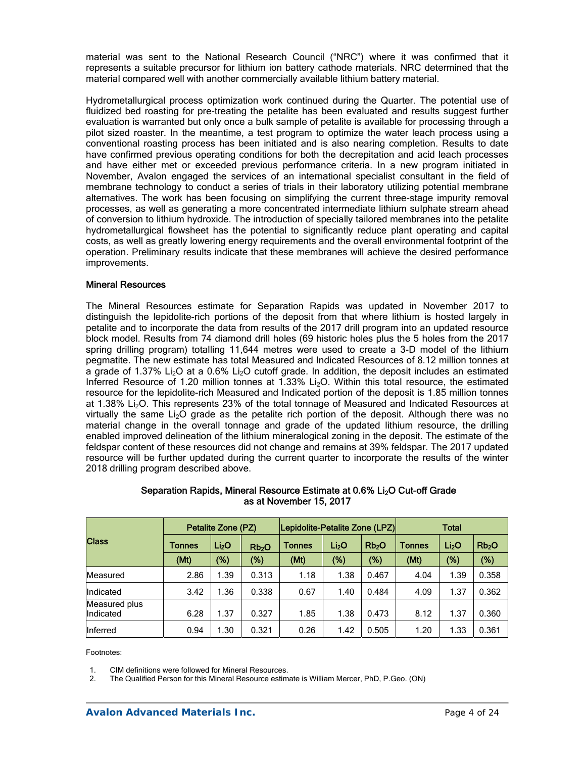material was sent to the National Research Council ("NRC") where it was confirmed that it represents a suitable precursor for lithium ion battery cathode materials. NRC determined that the material compared well with another commercially available lithium battery material.

Hydrometallurgical process optimization work continued during the Quarter. The potential use of fluidized bed roasting for pre-treating the petalite has been evaluated and results suggest further evaluation is warranted but only once a bulk sample of petalite is available for processing through a pilot sized roaster. In the meantime, a test program to optimize the water leach process using a conventional roasting process has been initiated and is also nearing completion. Results to date have confirmed previous operating conditions for both the decrepitation and acid leach processes and have either met or exceeded previous performance criteria. In a new program initiated in November, Avalon engaged the services of an international specialist consultant in the field of membrane technology to conduct a series of trials in their laboratory utilizing potential membrane alternatives. The work has been focusing on simplifying the current three-stage impurity removal processes, as well as generating a more concentrated intermediate lithium sulphate stream ahead of conversion to lithium hydroxide. The introduction of specially tailored membranes into the petalite hydrometallurgical flowsheet has the potential to significantly reduce plant operating and capital costs, as well as greatly lowering energy requirements and the overall environmental footprint of the operation. Preliminary results indicate that these membranes will achieve the desired performance improvements.

#### Mineral Resources

The Mineral Resources estimate for Separation Rapids was updated in November 2017 to distinguish the lepidolite-rich portions of the deposit from that where lithium is hosted largely in petalite and to incorporate the data from results of the 2017 drill program into an updated resource block model. Results from 74 diamond drill holes (69 historic holes plus the 5 holes from the 2017 spring drilling program) totalling 11,644 metres were used to create a 3-D model of the lithium pegmatite. The new estimate has total Measured and Indicated Resources of 8.12 million tonnes at a grade of 1.37% Li<sub>2</sub>O at a 0.6% Li<sub>2</sub>O cutoff grade. In addition, the deposit includes an estimated Inferred Resource of 1.20 million tonnes at 1.33% Li<sub>2</sub>O. Within this total resource, the estimated resource for the lepidolite-rich Measured and Indicated portion of the deposit is 1.85 million tonnes at 1.38%  $Li<sub>2</sub>O$ . This represents 23% of the total tonnage of Measured and Indicated Resources at virtually the same  $Li<sub>2</sub>O$  grade as the petalite rich portion of the deposit. Although there was no material change in the overall tonnage and grade of the updated lithium resource, the drilling enabled improved delineation of the lithium mineralogical zoning in the deposit. The estimate of the feldspar content of these resources did not change and remains at 39% feldspar. The 2017 updated resource will be further updated during the current quarter to incorporate the results of the winter 2018 drilling program described above.

|                                   | Petalite Zone (PZ) |                   |       | Lepidolite-Petalite Zone (LPZ) |                   |                   | <b>Total</b>  |                   |                   |  |
|-----------------------------------|--------------------|-------------------|-------|--------------------------------|-------------------|-------------------|---------------|-------------------|-------------------|--|
| <b>Class</b>                      | <b>Tonnes</b>      | Li <sub>2</sub> O |       | <b>Tonnes</b>                  | Li <sub>2</sub> O | Rb <sub>2</sub> O | <b>Tonnes</b> | Li <sub>2</sub> O | Rb <sub>2</sub> O |  |
|                                   | (Mt)               | (%)               | (%)   | (Mt)                           | (%)               | $(\%)$            | (Mt)          | (%)               | (%)               |  |
| Measured                          | 2.86               | 1.39              | 0.313 | 1.18                           | 1.38              | 0.467             | 4.04          | 1.39              | 0.358             |  |
| Indicated                         | 3.42               | 1.36              | 0.338 | 0.67                           | 1.40              | 0.484             | 4.09          | 1.37              | 0.362             |  |
| Measured plus<br><b>Indicated</b> | 6.28               | 1.37              | 0.327 | 1.85                           | 1.38              | 0.473             | 8.12          | 1.37              | 0.360             |  |
| Inferred                          | 0.94               | 1.30              | 0.321 | 0.26                           | 1.42              | 0.505             | 1.20          | 1.33              | 0.361             |  |

#### Separation Rapids, Mineral Resource Estimate at 0.6% Li<sub>2</sub>O Cut-off Grade as at November 15, 2017

Footnotes:

1. CIM definitions were followed for Mineral Resources.

2. The Qualified Person for this Mineral Resource estimate is William Mercer, PhD, P.Geo. (ON)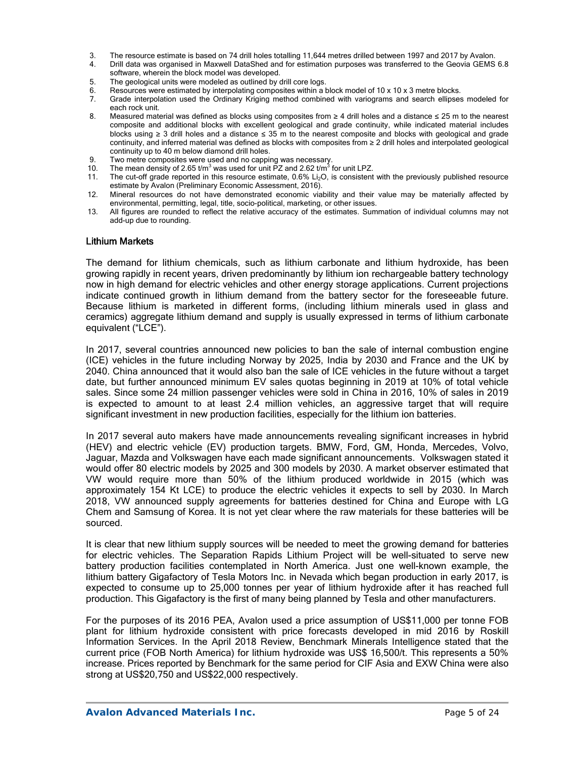- 3. The resource estimate is based on 74 drill holes totalling 11,644 metres drilled between 1997 and 2017 by Avalon.
- 4. Drill data was organised in Maxwell DataShed and for estimation purposes was transferred to the Geovia GEMS 6.8 software, wherein the block model was developed.
- 5. The geological units were modeled as outlined by drill core logs.
- 6. Resources were estimated by interpolating composites within a block model of 10 x 10 x 3 metre blocks.<br>6. Grade interpolation used the Ordinary Kriging method combined with variograms and search ellipses
- 7. Grade interpolation used the Ordinary Kriging method combined with variograms and search ellipses modeled for each rock unit.
- 8. Measured material was defined as blocks using composites from ≥ 4 drill holes and a distance ≤ 25 m to the nearest composite and additional blocks with excellent geological and grade continuity, while indicated material includes blocks using ≥ 3 drill holes and a distance ≤ 35 m to the nearest composite and blocks with geological and grade continuity, and inferred material was defined as blocks with composites from ≥ 2 drill holes and interpolated geological continuity up to 40 m below diamond drill holes.
- 9. Two metre composites were used and no capping was necessary.<br>10. The mean density of 2.65 t/m<sup>3</sup> was used for unit PZ and 2.62 t/m<sup>3</sup> t
- 10. The mean density of 2.65  $t/m^3$  was used for unit PZ and 2.62  $t/m^3$  for unit LPZ.
- 11. The cut-off grade reported in this resource estimate,  $0.6\%$  Li<sub>2</sub>O, is consistent with the previously published resource estimate by Avalon (Preliminary Economic Assessment, 2016).
- 12. Mineral resources do not have demonstrated economic viability and their value may be materially affected by environmental, permitting, legal, title, socio-political, marketing, or other issues.
- 13. All figures are rounded to reflect the relative accuracy of the estimates. Summation of individual columns may not add-up due to rounding.

#### Lithium Markets

The demand for lithium chemicals, such as lithium carbonate and lithium hydroxide, has been growing rapidly in recent years, driven predominantly by lithium ion rechargeable battery technology now in high demand for electric vehicles and other energy storage applications. Current projections indicate continued growth in lithium demand from the battery sector for the foreseeable future. Because lithium is marketed in different forms, (including lithium minerals used in glass and ceramics) aggregate lithium demand and supply is usually expressed in terms of lithium carbonate equivalent ("LCE").

In 2017, several countries announced new policies to ban the sale of internal combustion engine (ICE) vehicles in the future including Norway by 2025, India by 2030 and France and the UK by 2040. China announced that it would also ban the sale of ICE vehicles in the future without a target date, but further announced minimum EV sales quotas beginning in 2019 at 10% of total vehicle sales. Since some 24 million passenger vehicles were sold in China in 2016, 10% of sales in 2019 is expected to amount to at least 2.4 million vehicles, an aggressive target that will require significant investment in new production facilities, especially for the lithium ion batteries.

In 2017 several auto makers have made announcements revealing significant increases in hybrid (HEV) and electric vehicle (EV) production targets. BMW, Ford, GM, Honda, Mercedes, Volvo, Jaguar, Mazda and Volkswagen have each made significant announcements. Volkswagen stated it would offer 80 electric models by 2025 and 300 models by 2030. A market observer estimated that VW would require more than 50% of the lithium produced worldwide in 2015 (which was approximately 154 Kt LCE) to produce the electric vehicles it expects to sell by 2030. In March 2018, VW announced supply agreements for batteries destined for China and Europe with LG Chem and Samsung of Korea. It is not yet clear where the raw materials for these batteries will be sourced.

It is clear that new lithium supply sources will be needed to meet the growing demand for batteries for electric vehicles. The Separation Rapids Lithium Project will be well-situated to serve new battery production facilities contemplated in North America. Just one well-known example, the lithium battery Gigafactory of Tesla Motors Inc. in Nevada which began production in early 2017, is expected to consume up to 25,000 tonnes per year of lithium hydroxide after it has reached full production. This Gigafactory is the first of many being planned by Tesla and other manufacturers.

For the purposes of its 2016 PEA, Avalon used a price assumption of US\$11,000 per tonne FOB plant for lithium hydroxide consistent with price forecasts developed in mid 2016 by Roskill Information Services. In the April 2018 Review, Benchmark Minerals Intelligence stated that the current price (FOB North America) for lithium hydroxide was US\$ 16,500/t. This represents a 50% increase. Prices reported by Benchmark for the same period for CIF Asia and EXW China were also strong at US\$20,750 and US\$22,000 respectively.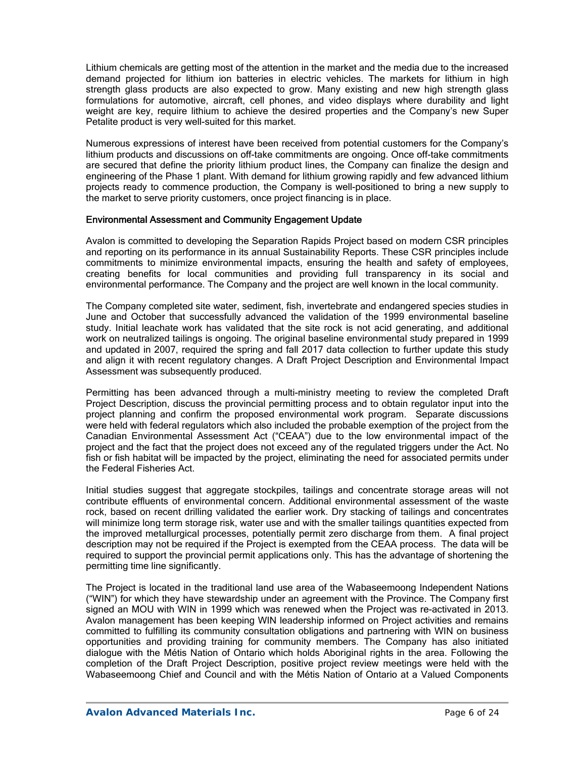Lithium chemicals are getting most of the attention in the market and the media due to the increased demand projected for lithium ion batteries in electric vehicles. The markets for lithium in high strength glass products are also expected to grow. Many existing and new high strength glass formulations for automotive, aircraft, cell phones, and video displays where durability and light weight are key, require lithium to achieve the desired properties and the Company's new Super Petalite product is very well-suited for this market.

Numerous expressions of interest have been received from potential customers for the Company's lithium products and discussions on off-take commitments are ongoing. Once off-take commitments are secured that define the priority lithium product lines, the Company can finalize the design and engineering of the Phase 1 plant. With demand for lithium growing rapidly and few advanced lithium projects ready to commence production, the Company is well-positioned to bring a new supply to the market to serve priority customers, once project financing is in place.

#### Environmental Assessment and Community Engagement Update

Avalon is committed to developing the Separation Rapids Project based on modern CSR principles and reporting on its performance in its annual Sustainability Reports. These CSR principles include commitments to minimize environmental impacts, ensuring the health and safety of employees, creating benefits for local communities and providing full transparency in its social and environmental performance. The Company and the project are well known in the local community.

The Company completed site water, sediment, fish, invertebrate and endangered species studies in June and October that successfully advanced the validation of the 1999 environmental baseline study. Initial leachate work has validated that the site rock is not acid generating, and additional work on neutralized tailings is ongoing. The original baseline environmental study prepared in 1999 and updated in 2007, required the spring and fall 2017 data collection to further update this study and align it with recent regulatory changes. A Draft Project Description and Environmental Impact Assessment was subsequently produced.

Permitting has been advanced through a multi-ministry meeting to review the completed Draft Project Description, discuss the provincial permitting process and to obtain regulator input into the project planning and confirm the proposed environmental work program. Separate discussions were held with federal regulators which also included the probable exemption of the project from the Canadian Environmental Assessment Act ("CEAA") due to the low environmental impact of the project and the fact that the project does not exceed any of the regulated triggers under the Act. No fish or fish habitat will be impacted by the project, eliminating the need for associated permits under the Federal Fisheries Act.

Initial studies suggest that aggregate stockpiles, tailings and concentrate storage areas will not contribute effluents of environmental concern. Additional environmental assessment of the waste rock, based on recent drilling validated the earlier work. Dry stacking of tailings and concentrates will minimize long term storage risk, water use and with the smaller tailings quantities expected from the improved metallurgical processes, potentially permit zero discharge from them. A final project description may not be required if the Project is exempted from the CEAA process. The data will be required to support the provincial permit applications only. This has the advantage of shortening the permitting time line significantly.

The Project is located in the traditional land use area of the Wabaseemoong Independent Nations ("WIN") for which they have stewardship under an agreement with the Province. The Company first signed an MOU with WIN in 1999 which was renewed when the Project was re-activated in 2013. Avalon management has been keeping WIN leadership informed on Project activities and remains committed to fulfilling its community consultation obligations and partnering with WIN on business opportunities and providing training for community members. The Company has also initiated dialogue with the Métis Nation of Ontario which holds Aboriginal rights in the area. Following the completion of the Draft Project Description, positive project review meetings were held with the Wabaseemoong Chief and Council and with the Métis Nation of Ontario at a Valued Components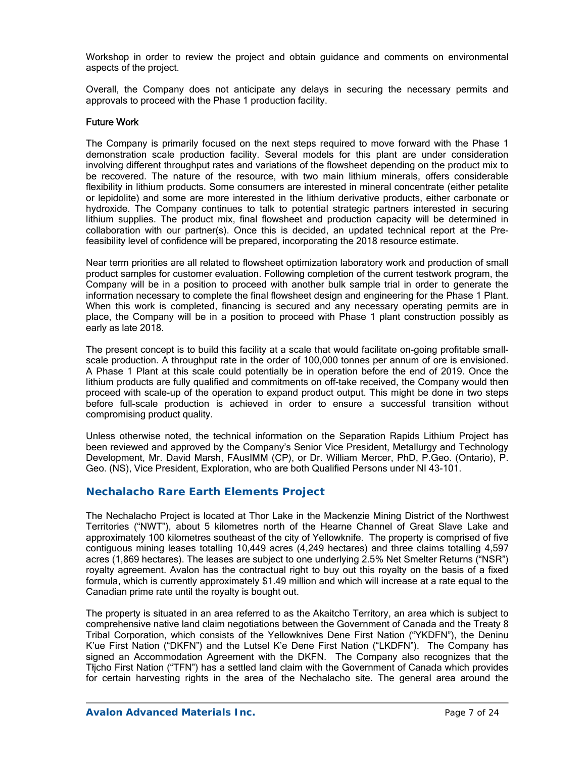Workshop in order to review the project and obtain guidance and comments on environmental aspects of the project.

Overall, the Company does not anticipate any delays in securing the necessary permits and approvals to proceed with the Phase 1 production facility.

#### Future Work

The Company is primarily focused on the next steps required to move forward with the Phase 1 demonstration scale production facility. Several models for this plant are under consideration involving different throughput rates and variations of the flowsheet depending on the product mix to be recovered. The nature of the resource, with two main lithium minerals, offers considerable flexibility in lithium products. Some consumers are interested in mineral concentrate (either petalite or lepidolite) and some are more interested in the lithium derivative products, either carbonate or hydroxide. The Company continues to talk to potential strategic partners interested in securing lithium supplies. The product mix, final flowsheet and production capacity will be determined in collaboration with our partner(s). Once this is decided, an updated technical report at the Prefeasibility level of confidence will be prepared, incorporating the 2018 resource estimate.

Near term priorities are all related to flowsheet optimization laboratory work and production of small product samples for customer evaluation. Following completion of the current testwork program, the Company will be in a position to proceed with another bulk sample trial in order to generate the information necessary to complete the final flowsheet design and engineering for the Phase 1 Plant. When this work is completed, financing is secured and any necessary operating permits are in place, the Company will be in a position to proceed with Phase 1 plant construction possibly as early as late 2018.

The present concept is to build this facility at a scale that would facilitate on-going profitable smallscale production. A throughput rate in the order of 100,000 tonnes per annum of ore is envisioned. A Phase 1 Plant at this scale could potentially be in operation before the end of 2019. Once the lithium products are fully qualified and commitments on off-take received, the Company would then proceed with scale-up of the operation to expand product output. This might be done in two steps before full-scale production is achieved in order to ensure a successful transition without compromising product quality.

Unless otherwise noted, the technical information on the Separation Rapids Lithium Project has been reviewed and approved by the Company's Senior Vice President, Metallurgy and Technology Development, Mr. David Marsh, FAusIMM (CP), or Dr. William Mercer, PhD, P.Geo. (Ontario), P. Geo. (NS), Vice President, Exploration, who are both Qualified Persons under NI 43-101.

### **Nechalacho Rare Earth Elements Project**

The Nechalacho Project is located at Thor Lake in the Mackenzie Mining District of the Northwest Territories ("NWT"), about 5 kilometres north of the Hearne Channel of Great Slave Lake and approximately 100 kilometres southeast of the city of Yellowknife. The property is comprised of five contiguous mining leases totalling 10,449 acres (4,249 hectares) and three claims totalling 4,597 acres (1,869 hectares). The leases are subject to one underlying 2.5% Net Smelter Returns ("NSR") royalty agreement. Avalon has the contractual right to buy out this royalty on the basis of a fixed formula, which is currently approximately \$1.49 million and which will increase at a rate equal to the Canadian prime rate until the royalty is bought out.

The property is situated in an area referred to as the Akaitcho Territory, an area which is subject to comprehensive native land claim negotiations between the Government of Canada and the Treaty 8 Tribal Corporation, which consists of the Yellowknives Dene First Nation ("YKDFN"), the Deninu K'ue First Nation ("DKFN") and the Lutsel K'e Dene First Nation ("LKDFN"). The Company has signed an Accommodation Agreement with the DKFN. The Company also recognizes that the Tłįcho First Nation ("TFN") has a settled land claim with the Government of Canada which provides for certain harvesting rights in the area of the Nechalacho site. The general area around the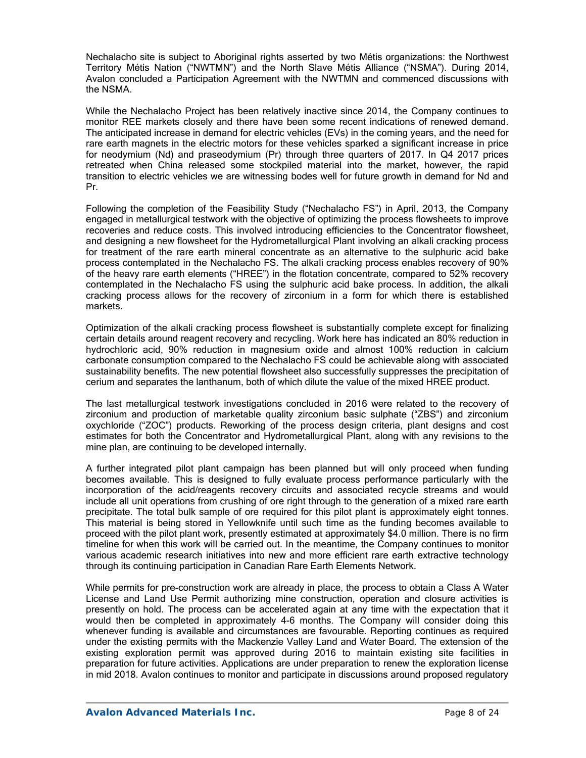Nechalacho site is subject to Aboriginal rights asserted by two Métis organizations: the Northwest Territory Métis Nation ("NWTMN") and the North Slave Métis Alliance ("NSMA"). During 2014, Avalon concluded a Participation Agreement with the NWTMN and commenced discussions with the NSMA.

While the Nechalacho Project has been relatively inactive since 2014, the Company continues to monitor REE markets closely and there have been some recent indications of renewed demand. The anticipated increase in demand for electric vehicles (EVs) in the coming years, and the need for rare earth magnets in the electric motors for these vehicles sparked a significant increase in price for neodymium (Nd) and praseodymium (Pr) through three quarters of 2017. In Q4 2017 prices retreated when China released some stockpiled material into the market, however, the rapid transition to electric vehicles we are witnessing bodes well for future growth in demand for Nd and Pr.

Following the completion of the Feasibility Study ("Nechalacho FS") in April, 2013, the Company engaged in metallurgical testwork with the objective of optimizing the process flowsheets to improve recoveries and reduce costs. This involved introducing efficiencies to the Concentrator flowsheet, and designing a new flowsheet for the Hydrometallurgical Plant involving an alkali cracking process for treatment of the rare earth mineral concentrate as an alternative to the sulphuric acid bake process contemplated in the Nechalacho FS. The alkali cracking process enables recovery of 90% of the heavy rare earth elements ("HREE") in the flotation concentrate, compared to 52% recovery contemplated in the Nechalacho FS using the sulphuric acid bake process. In addition, the alkali cracking process allows for the recovery of zirconium in a form for which there is established markets.

Optimization of the alkali cracking process flowsheet is substantially complete except for finalizing certain details around reagent recovery and recycling. Work here has indicated an 80% reduction in hydrochloric acid, 90% reduction in magnesium oxide and almost 100% reduction in calcium carbonate consumption compared to the Nechalacho FS could be achievable along with associated sustainability benefits. The new potential flowsheet also successfully suppresses the precipitation of cerium and separates the lanthanum, both of which dilute the value of the mixed HREE product.

The last metallurgical testwork investigations concluded in 2016 were related to the recovery of zirconium and production of marketable quality zirconium basic sulphate ("ZBS") and zirconium oxychloride ("ZOC") products. Reworking of the process design criteria, plant designs and cost estimates for both the Concentrator and Hydrometallurgical Plant, along with any revisions to the mine plan, are continuing to be developed internally.

A further integrated pilot plant campaign has been planned but will only proceed when funding becomes available. This is designed to fully evaluate process performance particularly with the incorporation of the acid/reagents recovery circuits and associated recycle streams and would include all unit operations from crushing of ore right through to the generation of a mixed rare earth precipitate. The total bulk sample of ore required for this pilot plant is approximately eight tonnes. This material is being stored in Yellowknife until such time as the funding becomes available to proceed with the pilot plant work, presently estimated at approximately \$4.0 million. There is no firm timeline for when this work will be carried out. In the meantime, the Company continues to monitor various academic research initiatives into new and more efficient rare earth extractive technology through its continuing participation in Canadian Rare Earth Elements Network.

While permits for pre-construction work are already in place, the process to obtain a Class A Water License and Land Use Permit authorizing mine construction, operation and closure activities is presently on hold. The process can be accelerated again at any time with the expectation that it would then be completed in approximately 4-6 months. The Company will consider doing this whenever funding is available and circumstances are favourable. Reporting continues as required under the existing permits with the Mackenzie Valley Land and Water Board. The extension of the existing exploration permit was approved during 2016 to maintain existing site facilities in preparation for future activities. Applications are under preparation to renew the exploration license in mid 2018. Avalon continues to monitor and participate in discussions around proposed regulatory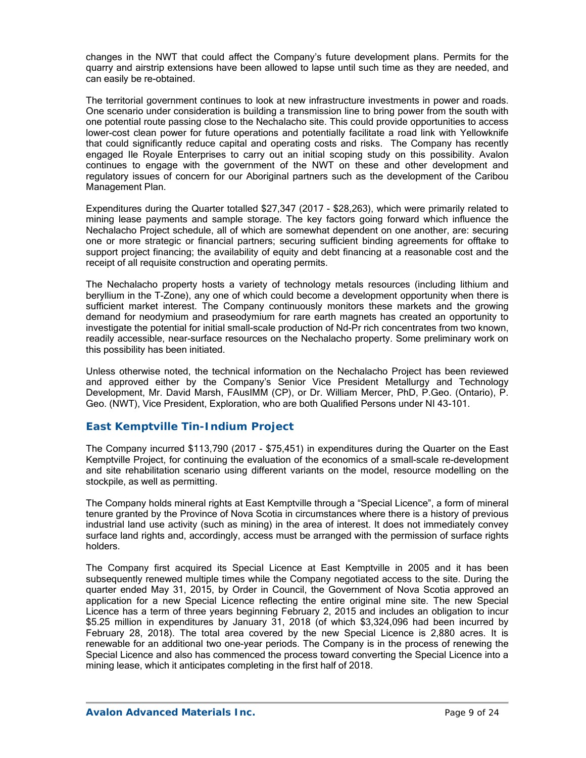changes in the NWT that could affect the Company's future development plans. Permits for the quarry and airstrip extensions have been allowed to lapse until such time as they are needed, and can easily be re-obtained.

The territorial government continues to look at new infrastructure investments in power and roads. One scenario under consideration is building a transmission line to bring power from the south with one potential route passing close to the Nechalacho site. This could provide opportunities to access lower-cost clean power for future operations and potentially facilitate a road link with Yellowknife that could significantly reduce capital and operating costs and risks. The Company has recently engaged Ile Royale Enterprises to carry out an initial scoping study on this possibility. Avalon continues to engage with the government of the NWT on these and other development and regulatory issues of concern for our Aboriginal partners such as the development of the Caribou Management Plan.

Expenditures during the Quarter totalled \$27,347 (2017 - \$28,263), which were primarily related to mining lease payments and sample storage. The key factors going forward which influence the Nechalacho Project schedule, all of which are somewhat dependent on one another, are: securing one or more strategic or financial partners; securing sufficient binding agreements for offtake to support project financing; the availability of equity and debt financing at a reasonable cost and the receipt of all requisite construction and operating permits.

The Nechalacho property hosts a variety of technology metals resources (including lithium and beryllium in the T-Zone), any one of which could become a development opportunity when there is sufficient market interest. The Company continuously monitors these markets and the growing demand for neodymium and praseodymium for rare earth magnets has created an opportunity to investigate the potential for initial small-scale production of Nd-Pr rich concentrates from two known, readily accessible, near-surface resources on the Nechalacho property. Some preliminary work on this possibility has been initiated.

Unless otherwise noted, the technical information on the Nechalacho Project has been reviewed and approved either by the Company's Senior Vice President Metallurgy and Technology Development, Mr. David Marsh, FAusIMM (CP), or Dr. William Mercer, PhD, P.Geo. (Ontario), P. Geo. (NWT), Vice President, Exploration, who are both Qualified Persons under NI 43-101.

### *East Kemptville Tin-Indium Project*

The Company incurred \$113,790 (2017 - \$75,451) in expenditures during the Quarter on the East Kemptville Project, for continuing the evaluation of the economics of a small-scale re-development and site rehabilitation scenario using different variants on the model, resource modelling on the stockpile, as well as permitting.

The Company holds mineral rights at East Kemptville through a "Special Licence", a form of mineral tenure granted by the Province of Nova Scotia in circumstances where there is a history of previous industrial land use activity (such as mining) in the area of interest. It does not immediately convey surface land rights and, accordingly, access must be arranged with the permission of surface rights holders.

The Company first acquired its Special Licence at East Kemptville in 2005 and it has been subsequently renewed multiple times while the Company negotiated access to the site. During the quarter ended May 31, 2015, by Order in Council, the Government of Nova Scotia approved an application for a new Special Licence reflecting the entire original mine site. The new Special Licence has a term of three years beginning February 2, 2015 and includes an obligation to incur \$5.25 million in expenditures by January 31, 2018 (of which \$3,324,096 had been incurred by February 28, 2018). The total area covered by the new Special Licence is 2,880 acres. It is renewable for an additional two one-year periods. The Company is in the process of renewing the Special Licence and also has commenced the process toward converting the Special Licence into a mining lease, which it anticipates completing in the first half of 2018.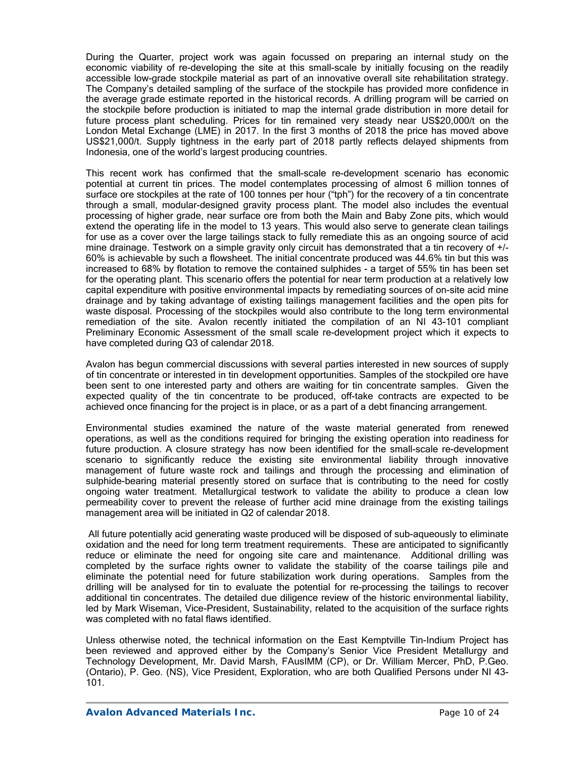During the Quarter, project work was again focussed on preparing an internal study on the economic viability of re-developing the site at this small-scale by initially focusing on the readily accessible low-grade stockpile material as part of an innovative overall site rehabilitation strategy. The Company's detailed sampling of the surface of the stockpile has provided more confidence in the average grade estimate reported in the historical records. A drilling program will be carried on the stockpile before production is initiated to map the internal grade distribution in more detail for future process plant scheduling. Prices for tin remained very steady near US\$20,000/t on the London Metal Exchange (LME) in 2017. In the first 3 months of 2018 the price has moved above US\$21,000/t. Supply tightness in the early part of 2018 partly reflects delayed shipments from Indonesia, one of the world's largest producing countries.

This recent work has confirmed that the small-scale re-development scenario has economic potential at current tin prices. The model contemplates processing of almost 6 million tonnes of surface ore stockpiles at the rate of 100 tonnes per hour ("tph") for the recovery of a tin concentrate through a small, modular-designed gravity process plant. The model also includes the eventual processing of higher grade, near surface ore from both the Main and Baby Zone pits, which would extend the operating life in the model to 13 years. This would also serve to generate clean tailings for use as a cover over the large tailings stack to fully remediate this as an ongoing source of acid mine drainage. Testwork on a simple gravity only circuit has demonstrated that a tin recovery of +/- 60% is achievable by such a flowsheet. The initial concentrate produced was 44.6% tin but this was increased to 68% by flotation to remove the contained sulphides - a target of 55% tin has been set for the operating plant. This scenario offers the potential for near term production at a relatively low capital expenditure with positive environmental impacts by remediating sources of on-site acid mine drainage and by taking advantage of existing tailings management facilities and the open pits for waste disposal. Processing of the stockpiles would also contribute to the long term environmental remediation of the site. Avalon recently initiated the compilation of an NI 43-101 compliant Preliminary Economic Assessment of the small scale re-development project which it expects to have completed during Q3 of calendar 2018.

Avalon has begun commercial discussions with several parties interested in new sources of supply of tin concentrate or interested in tin development opportunities. Samples of the stockpiled ore have been sent to one interested party and others are waiting for tin concentrate samples. Given the expected quality of the tin concentrate to be produced, off-take contracts are expected to be achieved once financing for the project is in place, or as a part of a debt financing arrangement.

Environmental studies examined the nature of the waste material generated from renewed operations, as well as the conditions required for bringing the existing operation into readiness for future production. A closure strategy has now been identified for the small-scale re-development scenario to significantly reduce the existing site environmental liability through innovative management of future waste rock and tailings and through the processing and elimination of sulphide-bearing material presently stored on surface that is contributing to the need for costly ongoing water treatment. Metallurgical testwork to validate the ability to produce a clean low permeability cover to prevent the release of further acid mine drainage from the existing tailings management area will be initiated in Q2 of calendar 2018.

 All future potentially acid generating waste produced will be disposed of sub-aqueously to eliminate oxidation and the need for long term treatment requirements. These are anticipated to significantly reduce or eliminate the need for ongoing site care and maintenance. Additional drilling was completed by the surface rights owner to validate the stability of the coarse tailings pile and eliminate the potential need for future stabilization work during operations. Samples from the drilling will be analysed for tin to evaluate the potential for re-processing the tailings to recover additional tin concentrates. The detailed due diligence review of the historic environmental liability, led by Mark Wiseman, Vice-President, Sustainability, related to the acquisition of the surface rights was completed with no fatal flaws identified.

Unless otherwise noted, the technical information on the East Kemptville Tin-Indium Project has been reviewed and approved either by the Company's Senior Vice President Metallurgy and Technology Development, Mr. David Marsh, FAusIMM (CP), or Dr. William Mercer, PhD, P.Geo. (Ontario), P. Geo. (NS), Vice President, Exploration, who are both Qualified Persons under NI 43- 101.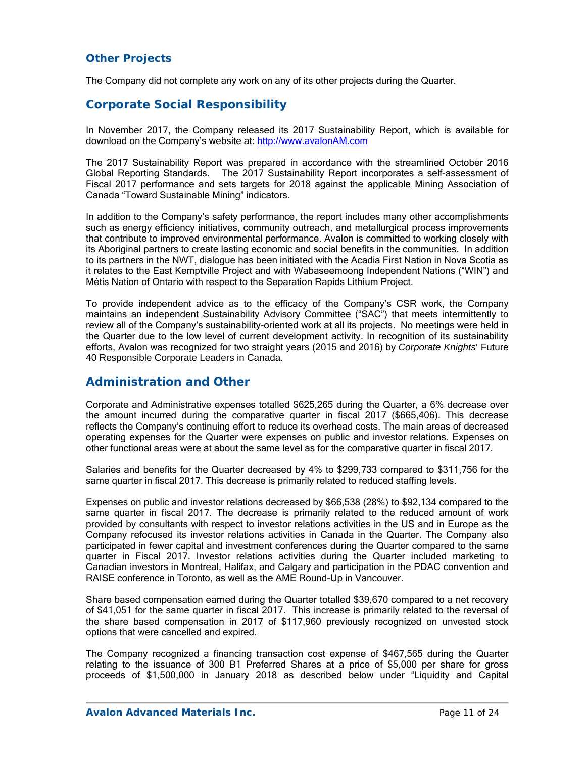### *Other Projects*

The Company did not complete any work on any of its other projects during the Quarter.

## **Corporate Social Responsibility**

In November 2017, the Company released its 2017 Sustainability Report, which is available for download on the Company's website at: http://www.avalonAM.com

The 2017 Sustainability Report was prepared in accordance with the streamlined October 2016 Global Reporting Standards. The 2017 Sustainability Report incorporates a self-assessment of Fiscal 2017 performance and sets targets for 2018 against the applicable Mining Association of Canada "Toward Sustainable Mining" indicators.

In addition to the Company's safety performance, the report includes many other accomplishments such as energy efficiency initiatives, community outreach, and metallurgical process improvements that contribute to improved environmental performance. Avalon is committed to working closely with its Aboriginal partners to create lasting economic and social benefits in the communities. In addition to its partners in the NWT, dialogue has been initiated with the Acadia First Nation in Nova Scotia as it relates to the East Kemptville Project and with Wabaseemoong Independent Nations ("WIN") and Métis Nation of Ontario with respect to the Separation Rapids Lithium Project.

To provide independent advice as to the efficacy of the Company's CSR work, the Company maintains an independent Sustainability Advisory Committee ("SAC") that meets intermittently to review all of the Company's sustainability-oriented work at all its projects. No meetings were held in the Quarter due to the low level of current development activity. In recognition of its sustainability efforts, Avalon was recognized for two straight years (2015 and 2016) by *Corporate Knights*' Future 40 Responsible Corporate Leaders in Canada.

### **Administration and Other**

Corporate and Administrative expenses totalled \$625,265 during the Quarter, a 6% decrease over the amount incurred during the comparative quarter in fiscal 2017 (\$665,406). This decrease reflects the Company's continuing effort to reduce its overhead costs. The main areas of decreased operating expenses for the Quarter were expenses on public and investor relations. Expenses on other functional areas were at about the same level as for the comparative quarter in fiscal 2017.

Salaries and benefits for the Quarter decreased by 4% to \$299,733 compared to \$311,756 for the same quarter in fiscal 2017. This decrease is primarily related to reduced staffing levels.

Expenses on public and investor relations decreased by \$66,538 (28%) to \$92,134 compared to the same quarter in fiscal 2017. The decrease is primarily related to the reduced amount of work provided by consultants with respect to investor relations activities in the US and in Europe as the Company refocused its investor relations activities in Canada in the Quarter. The Company also participated in fewer capital and investment conferences during the Quarter compared to the same quarter in Fiscal 2017. Investor relations activities during the Quarter included marketing to Canadian investors in Montreal, Halifax, and Calgary and participation in the PDAC convention and RAISE conference in Toronto, as well as the AME Round-Up in Vancouver.

Share based compensation earned during the Quarter totalled \$39,670 compared to a net recovery of \$41,051 for the same quarter in fiscal 2017. This increase is primarily related to the reversal of the share based compensation in 2017 of \$117,960 previously recognized on unvested stock options that were cancelled and expired.

The Company recognized a financing transaction cost expense of \$467,565 during the Quarter relating to the issuance of 300 B1 Preferred Shares at a price of \$5,000 per share for gross proceeds of \$1,500,000 in January 2018 as described below under "Liquidity and Capital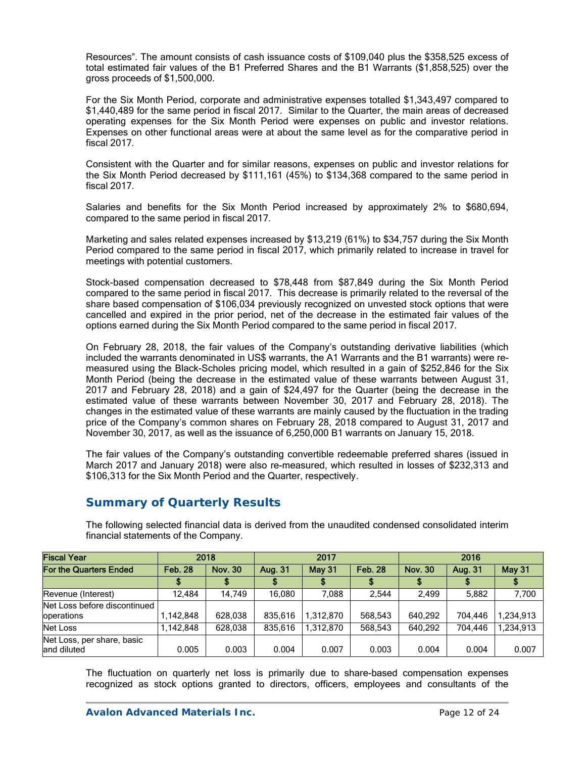Resources". The amount consists of cash issuance costs of \$109,040 plus the \$358,525 excess of total estimated fair values of the B1 Preferred Shares and the B1 Warrants (\$1,858,525) over the gross proceeds of \$1,500,000.

For the Six Month Period, corporate and administrative expenses totalled \$1,343,497 compared to \$1,440,489 for the same period in fiscal 2017. Similar to the Quarter, the main areas of decreased operating expenses for the Six Month Period were expenses on public and investor relations. Expenses on other functional areas were at about the same level as for the comparative period in fiscal 2017.

Consistent with the Quarter and for similar reasons, expenses on public and investor relations for the Six Month Period decreased by \$111,161 (45%) to \$134,368 compared to the same period in fiscal 2017.

Salaries and benefits for the Six Month Period increased by approximately 2% to \$680,694, compared to the same period in fiscal 2017.

Marketing and sales related expenses increased by \$13,219 (61%) to \$34,757 during the Six Month Period compared to the same period in fiscal 2017, which primarily related to increase in travel for meetings with potential customers.

Stock-based compensation decreased to \$78,448 from \$87,849 during the Six Month Period compared to the same period in fiscal 2017. This decrease is primarily related to the reversal of the share based compensation of \$106,034 previously recognized on unvested stock options that were cancelled and expired in the prior period, net of the decrease in the estimated fair values of the options earned during the Six Month Period compared to the same period in fiscal 2017.

On February 28, 2018, the fair values of the Company's outstanding derivative liabilities (which included the warrants denominated in US\$ warrants, the A1 Warrants and the B1 warrants) were remeasured using the Black-Scholes pricing model, which resulted in a gain of \$252,846 for the Six Month Period (being the decrease in the estimated value of these warrants between August 31, 2017 and February 28, 2018) and a gain of \$24,497 for the Quarter (being the decrease in the estimated value of these warrants between November 30, 2017 and February 28, 2018). The changes in the estimated value of these warrants are mainly caused by the fluctuation in the trading price of the Company's common shares on February 28, 2018 compared to August 31, 2017 and November 30, 2017, as well as the issuance of 6,250,000 B1 warrants on January 15, 2018.

The fair values of the Company's outstanding convertible redeemable preferred shares (issued in March 2017 and January 2018) were also re-measured, which resulted in losses of \$232,313 and \$106,313 for the Six Month Period and the Quarter, respectively.

## **Summary of Quarterly Results**

| <b>Fiscal Year</b>                         | 2018           |                |         | 2017      |                | 2016           |         |           |  |  |
|--------------------------------------------|----------------|----------------|---------|-----------|----------------|----------------|---------|-----------|--|--|
| For the Quarters Ended                     | <b>Feb. 28</b> | <b>Nov. 30</b> | Aug. 31 | May 31    | <b>Feb. 28</b> | <b>Nov. 30</b> | Aug. 31 | May 31    |  |  |
|                                            |                |                |         |           |                |                |         |           |  |  |
| Revenue (Interest)                         | 12.484         | 14.749         | 16.080  | 7.088     | 2.544          | 2.499          | 5.882   | 7.700     |  |  |
| Net Loss before discontinued<br>operations | 1,142,848      | 628,038        | 835,616 | 1,312,870 | 568,543        | 640.292        | 704.446 | 1,234,913 |  |  |
| Net Loss                                   | 1,142,848      | 628,038        | 835,616 | 1,312,870 | 568,543        | 640.292        | 704.446 | 1,234,913 |  |  |
| Net Loss, per share, basic<br>and diluted  | 0.005          | 0.003          | 0.004   | 0.007     | 0.003          | 0.004          | 0.004   | 0.007     |  |  |

The following selected financial data is derived from the unaudited condensed consolidated interim financial statements of the Company.

The fluctuation on quarterly net loss is primarily due to share-based compensation expenses recognized as stock options granted to directors, officers, employees and consultants of the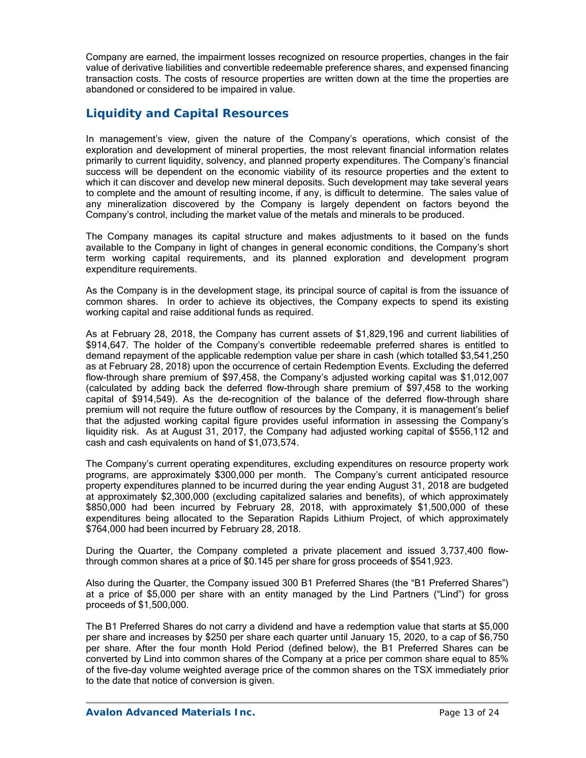Company are earned, the impairment losses recognized on resource properties, changes in the fair value of derivative liabilities and convertible redeemable preference shares, and expensed financing transaction costs. The costs of resource properties are written down at the time the properties are abandoned or considered to be impaired in value.

## **Liquidity and Capital Resources**

In management's view, given the nature of the Company's operations, which consist of the exploration and development of mineral properties, the most relevant financial information relates primarily to current liquidity, solvency, and planned property expenditures. The Company's financial success will be dependent on the economic viability of its resource properties and the extent to which it can discover and develop new mineral deposits. Such development may take several years to complete and the amount of resulting income, if any, is difficult to determine. The sales value of any mineralization discovered by the Company is largely dependent on factors beyond the Company's control, including the market value of the metals and minerals to be produced.

The Company manages its capital structure and makes adjustments to it based on the funds available to the Company in light of changes in general economic conditions, the Company's short term working capital requirements, and its planned exploration and development program expenditure requirements.

As the Company is in the development stage, its principal source of capital is from the issuance of common shares. In order to achieve its objectives, the Company expects to spend its existing working capital and raise additional funds as required.

As at February 28, 2018, the Company has current assets of \$1,829,196 and current liabilities of \$914,647. The holder of the Company's convertible redeemable preferred shares is entitled to demand repayment of the applicable redemption value per share in cash (which totalled \$3,541,250 as at February 28, 2018) upon the occurrence of certain Redemption Events. Excluding the deferred flow-through share premium of \$97,458, the Company's adjusted working capital was \$1,012,007 (calculated by adding back the deferred flow-through share premium of \$97,458 to the working capital of \$914,549). As the de-recognition of the balance of the deferred flow-through share premium will not require the future outflow of resources by the Company, it is management's belief that the adjusted working capital figure provides useful information in assessing the Company's liquidity risk. As at August 31, 2017, the Company had adjusted working capital of \$556,112 and cash and cash equivalents on hand of \$1,073,574.

The Company's current operating expenditures, excluding expenditures on resource property work programs, are approximately \$300,000 per month. The Company's current anticipated resource property expenditures planned to be incurred during the year ending August 31, 2018 are budgeted at approximately \$2,300,000 (excluding capitalized salaries and benefits), of which approximately \$850,000 had been incurred by February 28, 2018, with approximately \$1,500,000 of these expenditures being allocated to the Separation Rapids Lithium Project, of which approximately \$764,000 had been incurred by February 28, 2018.

During the Quarter, the Company completed a private placement and issued 3,737,400 flowthrough common shares at a price of \$0.145 per share for gross proceeds of \$541,923.

Also during the Quarter, the Company issued 300 B1 Preferred Shares (the "B1 Preferred Shares") at a price of \$5,000 per share with an entity managed by the Lind Partners ("Lind") for gross proceeds of \$1,500,000.

The B1 Preferred Shares do not carry a dividend and have a redemption value that starts at \$5,000 per share and increases by \$250 per share each quarter until January 15, 2020, to a cap of \$6,750 per share. After the four month Hold Period (defined below), the B1 Preferred Shares can be converted by Lind into common shares of the Company at a price per common share equal to 85% of the five-day volume weighted average price of the common shares on the TSX immediately prior to the date that notice of conversion is given.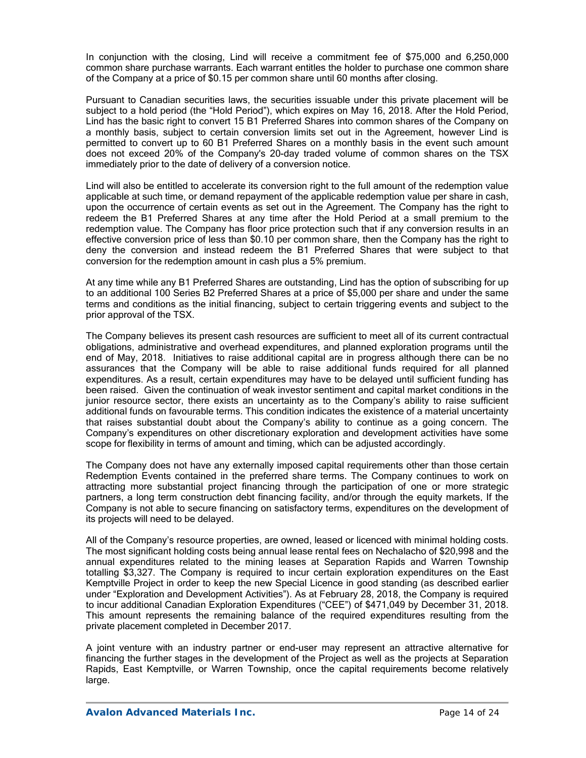In conjunction with the closing, Lind will receive a commitment fee of \$75,000 and 6,250,000 common share purchase warrants. Each warrant entitles the holder to purchase one common share of the Company at a price of \$0.15 per common share until 60 months after closing.

Pursuant to Canadian securities laws, the securities issuable under this private placement will be subject to a hold period (the "Hold Period"), which expires on May 16, 2018. After the Hold Period, Lind has the basic right to convert 15 B1 Preferred Shares into common shares of the Company on a monthly basis, subject to certain conversion limits set out in the Agreement, however Lind is permitted to convert up to 60 B1 Preferred Shares on a monthly basis in the event such amount does not exceed 20% of the Company's 20-day traded volume of common shares on the TSX immediately prior to the date of delivery of a conversion notice.

Lind will also be entitled to accelerate its conversion right to the full amount of the redemption value applicable at such time, or demand repayment of the applicable redemption value per share in cash, upon the occurrence of certain events as set out in the Agreement. The Company has the right to redeem the B1 Preferred Shares at any time after the Hold Period at a small premium to the redemption value. The Company has floor price protection such that if any conversion results in an effective conversion price of less than \$0.10 per common share, then the Company has the right to deny the conversion and instead redeem the B1 Preferred Shares that were subject to that conversion for the redemption amount in cash plus a 5% premium.

At any time while any B1 Preferred Shares are outstanding, Lind has the option of subscribing for up to an additional 100 Series B2 Preferred Shares at a price of \$5,000 per share and under the same terms and conditions as the initial financing, subject to certain triggering events and subject to the prior approval of the TSX.

The Company believes its present cash resources are sufficient to meet all of its current contractual obligations, administrative and overhead expenditures, and planned exploration programs until the end of May, 2018. Initiatives to raise additional capital are in progress although there can be no assurances that the Company will be able to raise additional funds required for all planned expenditures. As a result, certain expenditures may have to be delayed until sufficient funding has been raised. Given the continuation of weak investor sentiment and capital market conditions in the junior resource sector, there exists an uncertainty as to the Company's ability to raise sufficient additional funds on favourable terms. This condition indicates the existence of a material uncertainty that raises substantial doubt about the Company's ability to continue as a going concern. The Company's expenditures on other discretionary exploration and development activities have some scope for flexibility in terms of amount and timing, which can be adjusted accordingly.

The Company does not have any externally imposed capital requirements other than those certain Redemption Events contained in the preferred share terms. The Company continues to work on attracting more substantial project financing through the participation of one or more strategic partners, a long term construction debt financing facility, and/or through the equity markets. If the Company is not able to secure financing on satisfactory terms, expenditures on the development of its projects will need to be delayed.

All of the Company's resource properties, are owned, leased or licenced with minimal holding costs. The most significant holding costs being annual lease rental fees on Nechalacho of \$20,998 and the annual expenditures related to the mining leases at Separation Rapids and Warren Township totalling \$3,327. The Company is required to incur certain exploration expenditures on the East Kemptville Project in order to keep the new Special Licence in good standing (as described earlier under "Exploration and Development Activities"). As at February 28, 2018, the Company is required to incur additional Canadian Exploration Expenditures ("CEE") of \$471,049 by December 31, 2018. This amount represents the remaining balance of the required expenditures resulting from the private placement completed in December 2017.

A joint venture with an industry partner or end-user may represent an attractive alternative for financing the further stages in the development of the Project as well as the projects at Separation Rapids, East Kemptville, or Warren Township, once the capital requirements become relatively large.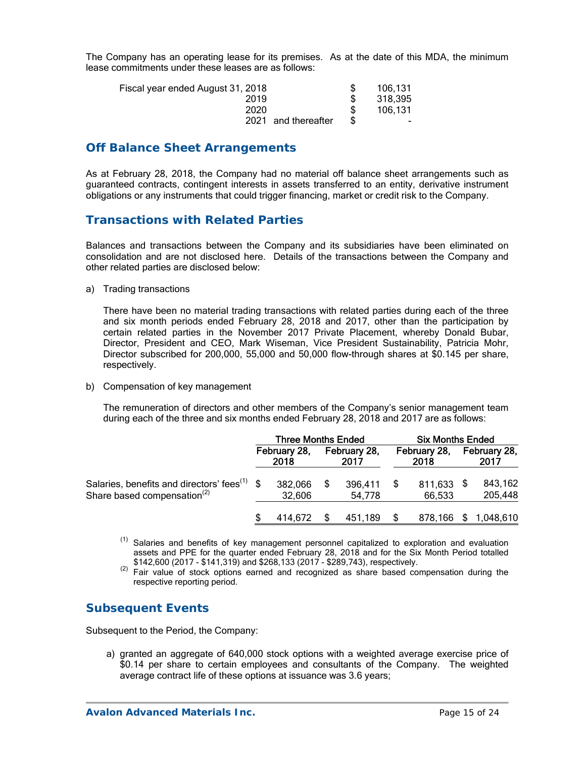The Company has an operating lease for its premises. As at the date of this MDA, the minimum lease commitments under these leases are as follows:

| Fiscal year ended August 31, 2018 | 106,131 |
|-----------------------------------|---------|
| 2019                              | 318,395 |
| 2020                              | 106.131 |
| 2021 and thereafter               | $\sim$  |

### **Off Balance Sheet Arrangements**

As at February 28, 2018, the Company had no material off balance sheet arrangements such as guaranteed contracts, contingent interests in assets transferred to an entity, derivative instrument obligations or any instruments that could trigger financing, market or credit risk to the Company.

### **Transactions with Related Parties**

Balances and transactions between the Company and its subsidiaries have been eliminated on consolidation and are not disclosed here. Details of the transactions between the Company and other related parties are disclosed below:

a) Trading transactions

There have been no material trading transactions with related parties during each of the three and six month periods ended February 28, 2018 and 2017, other than the participation by certain related parties in the November 2017 Private Placement, whereby Donald Bubar, Director, President and CEO, Mark Wiseman, Vice President Sustainability, Patricia Mohr, Director subscribed for 200,000, 55,000 and 50,000 flow-through shares at \$0.145 per share, respectively.

b) Compensation of key management

The remuneration of directors and other members of the Company's senior management team during each of the three and six months ended February 28, 2018 and 2017 are as follows:

|                                                          | <b>Three Months Ended</b> |                      |    |                      | <b>Six Months Ended</b> |                      |  |                      |
|----------------------------------------------------------|---------------------------|----------------------|----|----------------------|-------------------------|----------------------|--|----------------------|
|                                                          |                           | February 28,<br>2018 |    | February 28,<br>2017 |                         | February 28,<br>2018 |  | February 28,<br>2017 |
| Salaries, benefits and directors' fees <sup>(1)</sup> \$ |                           | 382,066              | S. | 396,411              |                         | 811,633 \$           |  | 843,162              |
| Share based compensation <sup>(2)</sup>                  |                           | 32,606               |    | 54.778               |                         | 66,533               |  | 205,448              |
|                                                          |                           | 414,672              | S. | 451,189              |                         |                      |  | 878,166 \$ 1,048,610 |

<sup>(1)</sup> Salaries and benefits of key management personnel capitalized to exploration and evaluation assets and PPE for the quarter ended February 28, 2018 and for the Six Month Period totalled \$142,600 (2017 - \$141,319) and \$268,133 (2017 - \$289,743), respectively.

 $(2)$  Fair value of stock options earned and recognized as share based compensation during the respective reporting period.

## **Subsequent Events**

Subsequent to the Period, the Company:

a) granted an aggregate of 640,000 stock options with a weighted average exercise price of \$0.14 per share to certain employees and consultants of the Company. The weighted average contract life of these options at issuance was 3.6 years;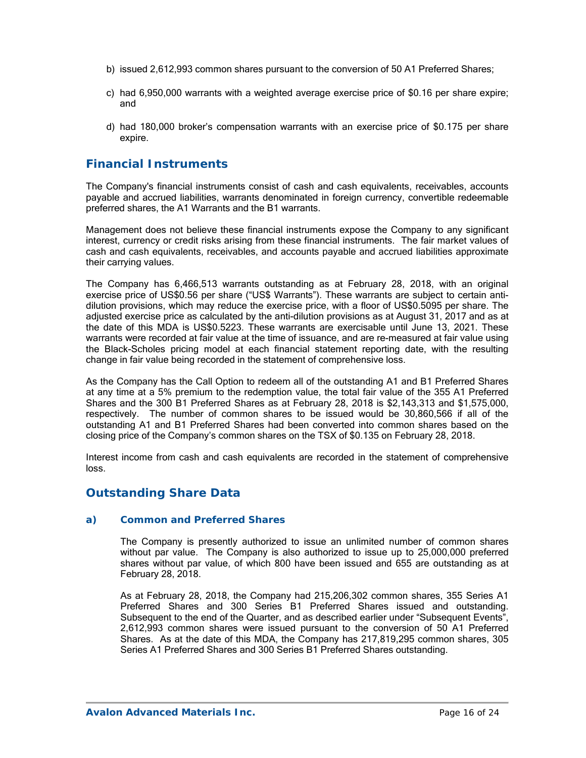- b) issued 2,612,993 common shares pursuant to the conversion of 50 A1 Preferred Shares;
- c) had 6,950,000 warrants with a weighted average exercise price of \$0.16 per share expire; and
- d) had 180,000 broker's compensation warrants with an exercise price of \$0.175 per share expire.

## **Financial Instruments**

The Company's financial instruments consist of cash and cash equivalents, receivables, accounts payable and accrued liabilities, warrants denominated in foreign currency, convertible redeemable preferred shares, the A1 Warrants and the B1 warrants.

Management does not believe these financial instruments expose the Company to any significant interest, currency or credit risks arising from these financial instruments. The fair market values of cash and cash equivalents, receivables, and accounts payable and accrued liabilities approximate their carrying values.

The Company has 6,466,513 warrants outstanding as at February 28, 2018, with an original exercise price of US\$0.56 per share ("US\$ Warrants"). These warrants are subject to certain antidilution provisions, which may reduce the exercise price, with a floor of US\$0.5095 per share. The adjusted exercise price as calculated by the anti-dilution provisions as at August 31, 2017 and as at the date of this MDA is US\$0.5223. These warrants are exercisable until June 13, 2021. These warrants were recorded at fair value at the time of issuance, and are re-measured at fair value using the Black-Scholes pricing model at each financial statement reporting date, with the resulting change in fair value being recorded in the statement of comprehensive loss.

As the Company has the Call Option to redeem all of the outstanding A1 and B1 Preferred Shares at any time at a 5% premium to the redemption value, the total fair value of the 355 A1 Preferred Shares and the 300 B1 Preferred Shares as at February 28, 2018 is \$2,143,313 and \$1,575,000, respectively. The number of common shares to be issued would be 30,860,566 if all of the outstanding A1 and B1 Preferred Shares had been converted into common shares based on the closing price of the Company's common shares on the TSX of \$0.135 on February 28, 2018.

Interest income from cash and cash equivalents are recorded in the statement of comprehensive loss.

## **Outstanding Share Data**

#### *a) Common and Preferred Shares*

The Company is presently authorized to issue an unlimited number of common shares without par value. The Company is also authorized to issue up to 25,000,000 preferred shares without par value, of which 800 have been issued and 655 are outstanding as at February 28, 2018.

As at February 28, 2018, the Company had 215,206,302 common shares, 355 Series A1 Preferred Shares and 300 Series B1 Preferred Shares issued and outstanding. Subsequent to the end of the Quarter, and as described earlier under "Subsequent Events", 2,612,993 common shares were issued pursuant to the conversion of 50 A1 Preferred Shares. As at the date of this MDA, the Company has 217,819,295 common shares, 305 Series A1 Preferred Shares and 300 Series B1 Preferred Shares outstanding.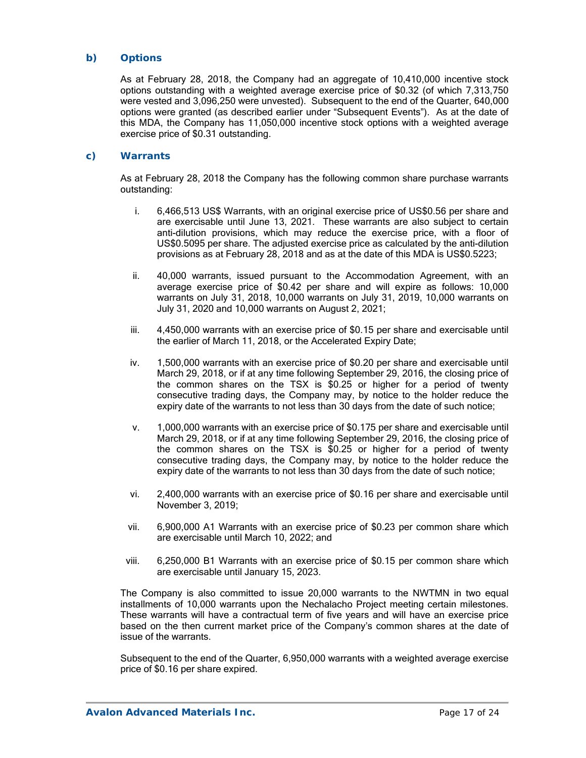#### *b) Options*

As at February 28, 2018, the Company had an aggregate of 10,410,000 incentive stock options outstanding with a weighted average exercise price of \$0.32 (of which 7,313,750 were vested and 3,096,250 were unvested). Subsequent to the end of the Quarter, 640,000 options were granted (as described earlier under "Subsequent Events"). As at the date of this MDA, the Company has 11,050,000 incentive stock options with a weighted average exercise price of \$0.31 outstanding.

#### *c) Warrants*

As at February 28, 2018 the Company has the following common share purchase warrants outstanding:

- i. 6,466,513 US\$ Warrants, with an original exercise price of US\$0.56 per share and are exercisable until June 13, 2021. These warrants are also subject to certain anti-dilution provisions, which may reduce the exercise price, with a floor of US\$0.5095 per share. The adjusted exercise price as calculated by the anti-dilution provisions as at February 28, 2018 and as at the date of this MDA is US\$0.5223;
- ii. 40,000 warrants, issued pursuant to the Accommodation Agreement, with an average exercise price of \$0.42 per share and will expire as follows: 10,000 warrants on July 31, 2018, 10,000 warrants on July 31, 2019, 10,000 warrants on July 31, 2020 and 10,000 warrants on August 2, 2021;
- iii. 4,450,000 warrants with an exercise price of \$0.15 per share and exercisable until the earlier of March 11, 2018, or the Accelerated Expiry Date;
- iv. 1,500,000 warrants with an exercise price of \$0.20 per share and exercisable until March 29, 2018, or if at any time following September 29, 2016, the closing price of the common shares on the TSX is \$0.25 or higher for a period of twenty consecutive trading days, the Company may, by notice to the holder reduce the expiry date of the warrants to not less than 30 days from the date of such notice;
- v. 1,000,000 warrants with an exercise price of \$0.175 per share and exercisable until March 29, 2018, or if at any time following September 29, 2016, the closing price of the common shares on the TSX is \$0.25 or higher for a period of twenty consecutive trading days, the Company may, by notice to the holder reduce the expiry date of the warrants to not less than 30 days from the date of such notice;
- vi. 2,400,000 warrants with an exercise price of \$0.16 per share and exercisable until November 3, 2019;
- vii. 6,900,000 A1 Warrants with an exercise price of \$0.23 per common share which are exercisable until March 10, 2022; and
- viii. 6,250,000 B1 Warrants with an exercise price of \$0.15 per common share which are exercisable until January 15, 2023.

The Company is also committed to issue 20,000 warrants to the NWTMN in two equal installments of 10,000 warrants upon the Nechalacho Project meeting certain milestones. These warrants will have a contractual term of five years and will have an exercise price based on the then current market price of the Company's common shares at the date of issue of the warrants.

Subsequent to the end of the Quarter, 6,950,000 warrants with a weighted average exercise price of \$0.16 per share expired.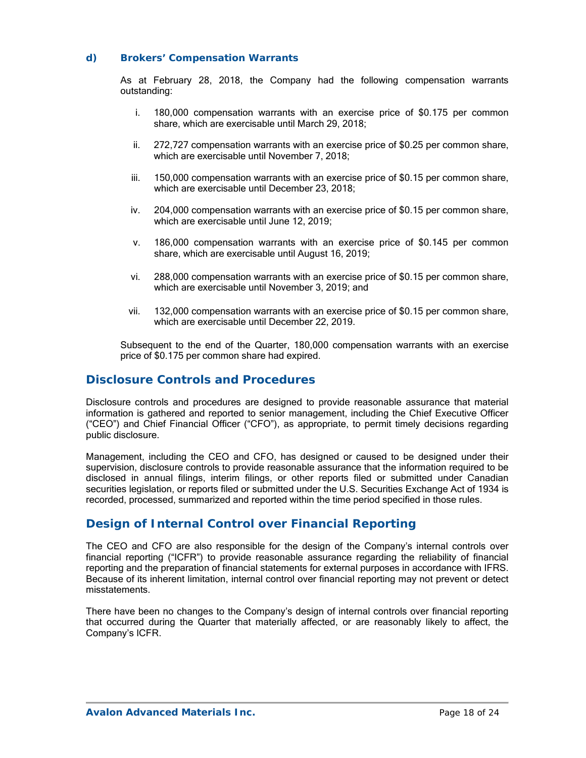#### *d) Brokers' Compensation Warrants*

As at February 28, 2018, the Company had the following compensation warrants outstanding:

- i. 180,000 compensation warrants with an exercise price of \$0.175 per common share, which are exercisable until March 29, 2018;
- ii. 272,727 compensation warrants with an exercise price of \$0.25 per common share, which are exercisable until November 7, 2018;
- iii. 150,000 compensation warrants with an exercise price of \$0.15 per common share, which are exercisable until December 23, 2018;
- iv. 204,000 compensation warrants with an exercise price of \$0.15 per common share, which are exercisable until June 12, 2019;
- v. 186,000 compensation warrants with an exercise price of \$0.145 per common share, which are exercisable until August 16, 2019;
- vi. 288,000 compensation warrants with an exercise price of \$0.15 per common share, which are exercisable until November 3, 2019; and
- vii. 132,000 compensation warrants with an exercise price of \$0.15 per common share, which are exercisable until December 22, 2019.

Subsequent to the end of the Quarter, 180,000 compensation warrants with an exercise price of \$0.175 per common share had expired.

### **Disclosure Controls and Procedures**

Disclosure controls and procedures are designed to provide reasonable assurance that material information is gathered and reported to senior management, including the Chief Executive Officer ("CEO") and Chief Financial Officer ("CFO"), as appropriate, to permit timely decisions regarding public disclosure.

Management, including the CEO and CFO, has designed or caused to be designed under their supervision, disclosure controls to provide reasonable assurance that the information required to be disclosed in annual filings, interim filings, or other reports filed or submitted under Canadian securities legislation, or reports filed or submitted under the U.S. Securities Exchange Act of 1934 is recorded, processed, summarized and reported within the time period specified in those rules.

## **Design of Internal Control over Financial Reporting**

The CEO and CFO are also responsible for the design of the Company's internal controls over financial reporting ("ICFR") to provide reasonable assurance regarding the reliability of financial reporting and the preparation of financial statements for external purposes in accordance with IFRS. Because of its inherent limitation, internal control over financial reporting may not prevent or detect misstatements.

There have been no changes to the Company's design of internal controls over financial reporting that occurred during the Quarter that materially affected, or are reasonably likely to affect, the Company's ICFR.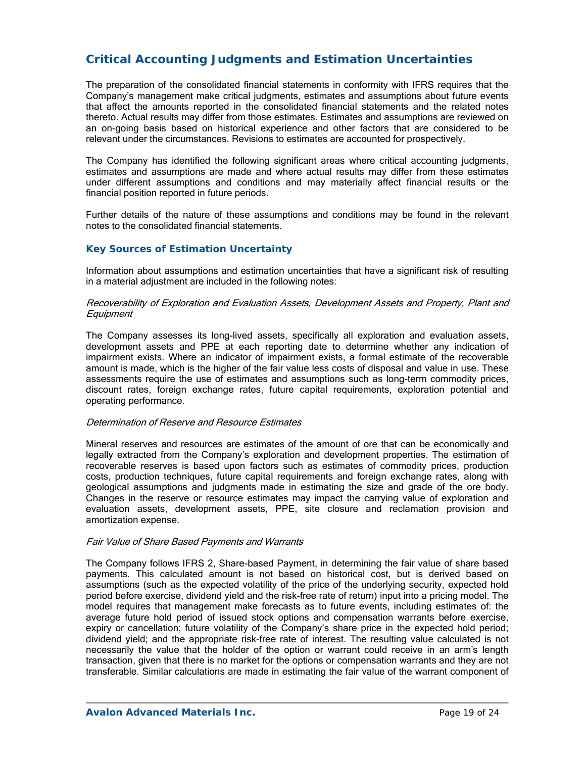# **Critical Accounting Judgments and Estimation Uncertainties**

The preparation of the consolidated financial statements in conformity with IFRS requires that the Company's management make critical judgments, estimates and assumptions about future events that affect the amounts reported in the consolidated financial statements and the related notes thereto. Actual results may differ from those estimates. Estimates and assumptions are reviewed on an on-going basis based on historical experience and other factors that are considered to be relevant under the circumstances. Revisions to estimates are accounted for prospectively.

The Company has identified the following significant areas where critical accounting judgments, estimates and assumptions are made and where actual results may differ from these estimates under different assumptions and conditions and may materially affect financial results or the financial position reported in future periods.

Further details of the nature of these assumptions and conditions may be found in the relevant notes to the consolidated financial statements.

#### *Key Sources of Estimation Uncertainty*

Information about assumptions and estimation uncertainties that have a significant risk of resulting in a material adjustment are included in the following notes:

#### Recoverability of Exploration and Evaluation Assets, Development Assets and Property, Plant and **Equipment**

The Company assesses its long-lived assets, specifically all exploration and evaluation assets, development assets and PPE at each reporting date to determine whether any indication of impairment exists. Where an indicator of impairment exists, a formal estimate of the recoverable amount is made, which is the higher of the fair value less costs of disposal and value in use. These assessments require the use of estimates and assumptions such as long-term commodity prices, discount rates, foreign exchange rates, future capital requirements, exploration potential and operating performance.

#### Determination of Reserve and Resource Estimates

Mineral reserves and resources are estimates of the amount of ore that can be economically and legally extracted from the Company's exploration and development properties. The estimation of recoverable reserves is based upon factors such as estimates of commodity prices, production costs, production techniques, future capital requirements and foreign exchange rates, along with geological assumptions and judgments made in estimating the size and grade of the ore body. Changes in the reserve or resource estimates may impact the carrying value of exploration and evaluation assets, development assets, PPE, site closure and reclamation provision and amortization expense.

#### Fair Value of Share Based Payments and Warrants

The Company follows IFRS 2, Share-based Payment, in determining the fair value of share based payments. This calculated amount is not based on historical cost, but is derived based on assumptions (such as the expected volatility of the price of the underlying security, expected hold period before exercise, dividend yield and the risk-free rate of return) input into a pricing model. The model requires that management make forecasts as to future events, including estimates of: the average future hold period of issued stock options and compensation warrants before exercise, expiry or cancellation; future volatility of the Company's share price in the expected hold period; dividend yield; and the appropriate risk-free rate of interest. The resulting value calculated is not necessarily the value that the holder of the option or warrant could receive in an arm's length transaction, given that there is no market for the options or compensation warrants and they are not transferable. Similar calculations are made in estimating the fair value of the warrant component of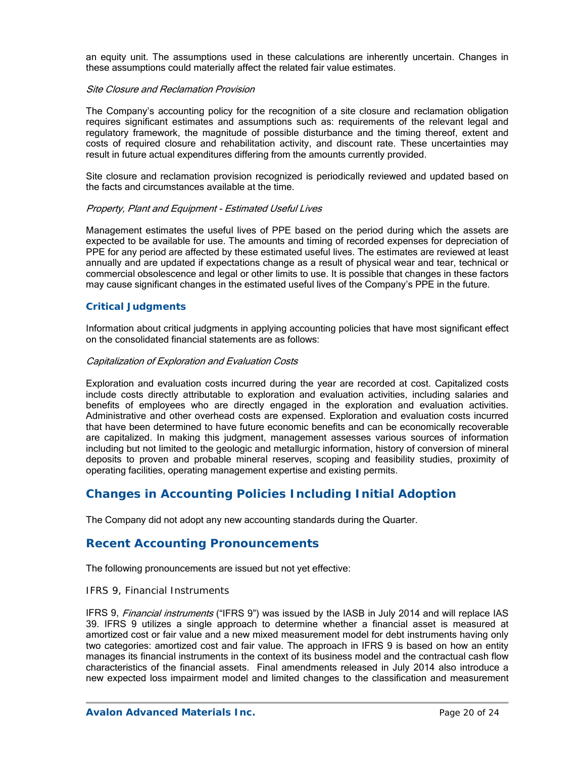an equity unit. The assumptions used in these calculations are inherently uncertain. Changes in these assumptions could materially affect the related fair value estimates.

#### Site Closure and Reclamation Provision

The Company's accounting policy for the recognition of a site closure and reclamation obligation requires significant estimates and assumptions such as: requirements of the relevant legal and regulatory framework, the magnitude of possible disturbance and the timing thereof, extent and costs of required closure and rehabilitation activity, and discount rate. These uncertainties may result in future actual expenditures differing from the amounts currently provided.

Site closure and reclamation provision recognized is periodically reviewed and updated based on the facts and circumstances available at the time.

#### Property, Plant and Equipment - Estimated Useful Lives

Management estimates the useful lives of PPE based on the period during which the assets are expected to be available for use. The amounts and timing of recorded expenses for depreciation of PPE for any period are affected by these estimated useful lives. The estimates are reviewed at least annually and are updated if expectations change as a result of physical wear and tear, technical or commercial obsolescence and legal or other limits to use. It is possible that changes in these factors may cause significant changes in the estimated useful lives of the Company's PPE in the future.

#### *Critical Judgments*

Information about critical judgments in applying accounting policies that have most significant effect on the consolidated financial statements are as follows:

#### Capitalization of Exploration and Evaluation Costs

Exploration and evaluation costs incurred during the year are recorded at cost. Capitalized costs include costs directly attributable to exploration and evaluation activities, including salaries and benefits of employees who are directly engaged in the exploration and evaluation activities. Administrative and other overhead costs are expensed. Exploration and evaluation costs incurred that have been determined to have future economic benefits and can be economically recoverable are capitalized. In making this judgment, management assesses various sources of information including but not limited to the geologic and metallurgic information, history of conversion of mineral deposits to proven and probable mineral reserves, scoping and feasibility studies, proximity of operating facilities, operating management expertise and existing permits.

## **Changes in Accounting Policies Including Initial Adoption**

The Company did not adopt any new accounting standards during the Quarter.

### **Recent Accounting Pronouncements**

The following pronouncements are issued but not yet effective:

#### *IFRS 9, Financial Instruments*

IFRS 9, *Financial instruments* ("IFRS 9") was issued by the IASB in July 2014 and will replace IAS 39. IFRS 9 utilizes a single approach to determine whether a financial asset is measured at amortized cost or fair value and a new mixed measurement model for debt instruments having only two categories: amortized cost and fair value. The approach in IFRS 9 is based on how an entity manages its financial instruments in the context of its business model and the contractual cash flow characteristics of the financial assets. Final amendments released in July 2014 also introduce a new expected loss impairment model and limited changes to the classification and measurement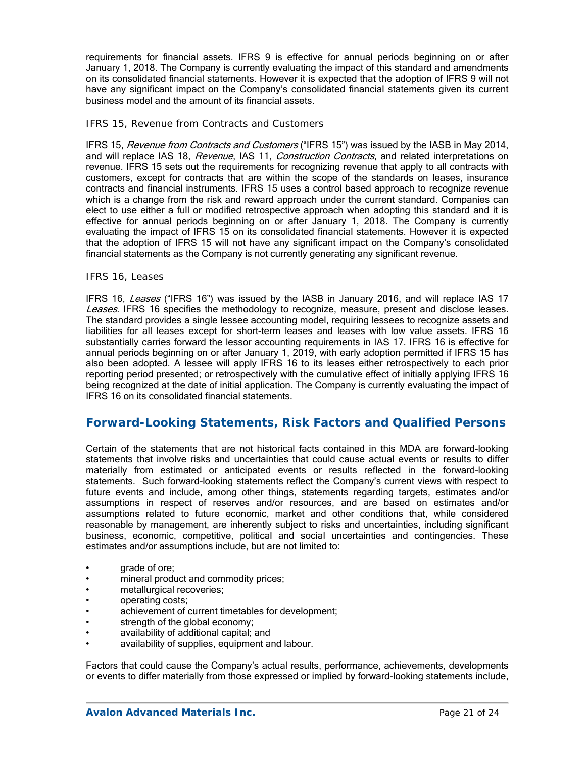requirements for financial assets. IFRS 9 is effective for annual periods beginning on or after January 1, 2018. The Company is currently evaluating the impact of this standard and amendments on its consolidated financial statements. However it is expected that the adoption of IFRS 9 will not have any significant impact on the Company's consolidated financial statements given its current business model and the amount of its financial assets.

#### *IFRS 15, Revenue from Contracts and Customers*

IFRS 15, Revenue from Contracts and Customers ("IFRS 15") was issued by the IASB in May 2014, and will replace IAS 18, Revenue, IAS 11, Construction Contracts, and related interpretations on revenue. IFRS 15 sets out the requirements for recognizing revenue that apply to all contracts with customers, except for contracts that are within the scope of the standards on leases, insurance contracts and financial instruments. IFRS 15 uses a control based approach to recognize revenue which is a change from the risk and reward approach under the current standard. Companies can elect to use either a full or modified retrospective approach when adopting this standard and it is effective for annual periods beginning on or after January 1, 2018. The Company is currently evaluating the impact of IFRS 15 on its consolidated financial statements. However it is expected that the adoption of IFRS 15 will not have any significant impact on the Company's consolidated financial statements as the Company is not currently generating any significant revenue.

#### *IFRS 16, Leases*

IFRS 16, Leases ("IFRS 16") was issued by the IASB in January 2016, and will replace IAS 17 Leases. IFRS 16 specifies the methodology to recognize, measure, present and disclose leases. The standard provides a single lessee accounting model, requiring lessees to recognize assets and liabilities for all leases except for short-term leases and leases with low value assets. IFRS 16 substantially carries forward the lessor accounting requirements in IAS 17. IFRS 16 is effective for annual periods beginning on or after January 1, 2019, with early adoption permitted if IFRS 15 has also been adopted. A lessee will apply IFRS 16 to its leases either retrospectively to each prior reporting period presented; or retrospectively with the cumulative effect of initially applying IFRS 16 being recognized at the date of initial application. The Company is currently evaluating the impact of IFRS 16 on its consolidated financial statements.

### **Forward-Looking Statements, Risk Factors and Qualified Persons**

Certain of the statements that are not historical facts contained in this MDA are forward-looking statements that involve risks and uncertainties that could cause actual events or results to differ materially from estimated or anticipated events or results reflected in the forward-looking statements. Such forward-looking statements reflect the Company's current views with respect to future events and include, among other things, statements regarding targets, estimates and/or assumptions in respect of reserves and/or resources, and are based on estimates and/or assumptions related to future economic, market and other conditions that, while considered reasonable by management, are inherently subject to risks and uncertainties, including significant business, economic, competitive, political and social uncertainties and contingencies. These estimates and/or assumptions include, but are not limited to:

- grade of ore;
- mineral product and commodity prices;
- metallurgical recoveries;
- operating costs;
- achievement of current timetables for development;
- strength of the global economy;
- availability of additional capital; and
- availability of supplies, equipment and labour.

Factors that could cause the Company's actual results, performance, achievements, developments or events to differ materially from those expressed or implied by forward-looking statements include,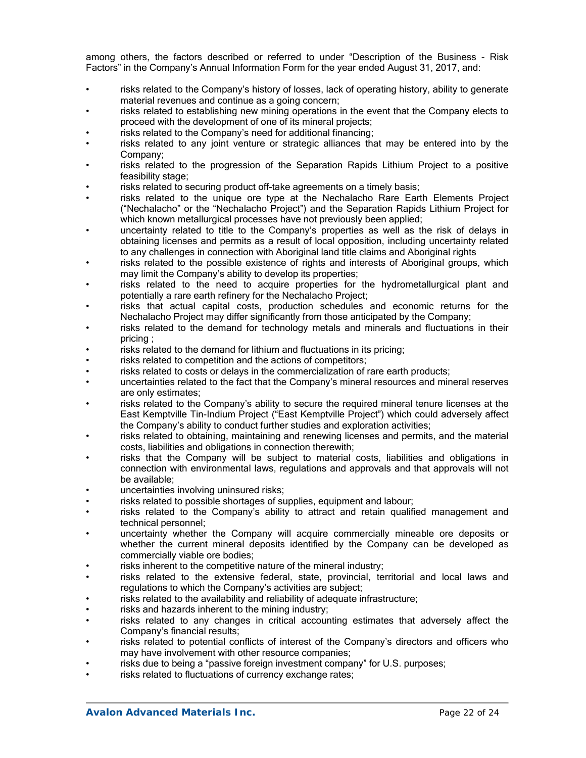among others, the factors described or referred to under "Description of the Business - Risk Factors" in the Company's Annual Information Form for the year ended August 31, 2017, and:

- risks related to the Company's history of losses, lack of operating history, ability to generate material revenues and continue as a going concern;
- risks related to establishing new mining operations in the event that the Company elects to proceed with the development of one of its mineral projects;
- risks related to the Company's need for additional financing;
- risks related to any joint venture or strategic alliances that may be entered into by the Company;
- risks related to the progression of the Separation Rapids Lithium Project to a positive feasibility stage;
- risks related to securing product off-take agreements on a timely basis;
- risks related to the unique ore type at the Nechalacho Rare Earth Elements Project ("Nechalacho" or the "Nechalacho Project") and the Separation Rapids Lithium Project for which known metallurgical processes have not previously been applied;
- uncertainty related to title to the Company's properties as well as the risk of delays in obtaining licenses and permits as a result of local opposition, including uncertainty related to any challenges in connection with Aboriginal land title claims and Aboriginal rights
- risks related to the possible existence of rights and interests of Aboriginal groups, which may limit the Company's ability to develop its properties;
- risks related to the need to acquire properties for the hydrometallurgical plant and potentially a rare earth refinery for the Nechalacho Project;
- risks that actual capital costs, production schedules and economic returns for the Nechalacho Project may differ significantly from those anticipated by the Company;
- risks related to the demand for technology metals and minerals and fluctuations in their pricing ;
- risks related to the demand for lithium and fluctuations in its pricing;
- risks related to competition and the actions of competitors;
- risks related to costs or delays in the commercialization of rare earth products;
- uncertainties related to the fact that the Company's mineral resources and mineral reserves are only estimates;
- risks related to the Company's ability to secure the required mineral tenure licenses at the East Kemptville Tin-Indium Project ("East Kemptville Project") which could adversely affect the Company's ability to conduct further studies and exploration activities;
- risks related to obtaining, maintaining and renewing licenses and permits, and the material costs, liabilities and obligations in connection therewith;
- risks that the Company will be subject to material costs, liabilities and obligations in connection with environmental laws, regulations and approvals and that approvals will not be available;
- uncertainties involving uninsured risks;
- risks related to possible shortages of supplies, equipment and labour;
- risks related to the Company's ability to attract and retain qualified management and technical personnel;
- uncertainty whether the Company will acquire commercially mineable ore deposits or whether the current mineral deposits identified by the Company can be developed as commercially viable ore bodies;
- risks inherent to the competitive nature of the mineral industry;
- risks related to the extensive federal, state, provincial, territorial and local laws and regulations to which the Company's activities are subject;
- risks related to the availability and reliability of adequate infrastructure;
- risks and hazards inherent to the mining industry;
- risks related to any changes in critical accounting estimates that adversely affect the Company's financial results;
- risks related to potential conflicts of interest of the Company's directors and officers who may have involvement with other resource companies;
- risks due to being a "passive foreign investment company" for U.S. purposes;
- risks related to fluctuations of currency exchange rates;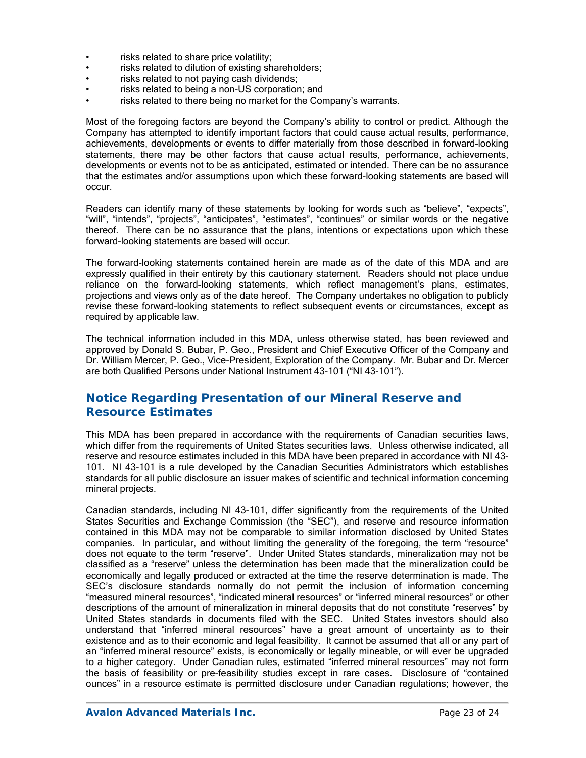- risks related to share price volatility;
- risks related to dilution of existing shareholders;
- risks related to not paying cash dividends;
- risks related to being a non-US corporation; and
- risks related to there being no market for the Company's warrants.

Most of the foregoing factors are beyond the Company's ability to control or predict. Although the Company has attempted to identify important factors that could cause actual results, performance, achievements, developments or events to differ materially from those described in forward-looking statements, there may be other factors that cause actual results, performance, achievements, developments or events not to be as anticipated, estimated or intended. There can be no assurance that the estimates and/or assumptions upon which these forward-looking statements are based will occur.

Readers can identify many of these statements by looking for words such as "believe", "expects", "will", "intends", "projects", "anticipates", "estimates", "continues" or similar words or the negative thereof. There can be no assurance that the plans, intentions or expectations upon which these forward-looking statements are based will occur.

The forward-looking statements contained herein are made as of the date of this MDA and are expressly qualified in their entirety by this cautionary statement. Readers should not place undue reliance on the forward-looking statements, which reflect management's plans, estimates, projections and views only as of the date hereof. The Company undertakes no obligation to publicly revise these forward-looking statements to reflect subsequent events or circumstances, except as required by applicable law.

The technical information included in this MDA, unless otherwise stated, has been reviewed and approved by Donald S. Bubar, P. Geo., President and Chief Executive Officer of the Company and Dr. William Mercer, P. Geo., Vice-President, Exploration of the Company. Mr. Bubar and Dr. Mercer are both Qualified Persons under National Instrument 43-101 ("NI 43-101").

# **Notice Regarding Presentation of our Mineral Reserve and Resource Estimates**

This MDA has been prepared in accordance with the requirements of Canadian securities laws, which differ from the requirements of United States securities laws. Unless otherwise indicated, all reserve and resource estimates included in this MDA have been prepared in accordance with NI 43- 101. NI 43-101 is a rule developed by the Canadian Securities Administrators which establishes standards for all public disclosure an issuer makes of scientific and technical information concerning mineral projects.

Canadian standards, including NI 43-101, differ significantly from the requirements of the United States Securities and Exchange Commission (the "SEC"), and reserve and resource information contained in this MDA may not be comparable to similar information disclosed by United States companies. In particular, and without limiting the generality of the foregoing, the term "resource" does not equate to the term "reserve". Under United States standards, mineralization may not be classified as a "reserve" unless the determination has been made that the mineralization could be economically and legally produced or extracted at the time the reserve determination is made. The SEC's disclosure standards normally do not permit the inclusion of information concerning "measured mineral resources", "indicated mineral resources" or "inferred mineral resources" or other descriptions of the amount of mineralization in mineral deposits that do not constitute "reserves" by United States standards in documents filed with the SEC. United States investors should also understand that "inferred mineral resources" have a great amount of uncertainty as to their existence and as to their economic and legal feasibility. It cannot be assumed that all or any part of an "inferred mineral resource" exists, is economically or legally mineable, or will ever be upgraded to a higher category. Under Canadian rules, estimated "inferred mineral resources" may not form the basis of feasibility or pre-feasibility studies except in rare cases. Disclosure of "contained ounces" in a resource estimate is permitted disclosure under Canadian regulations; however, the